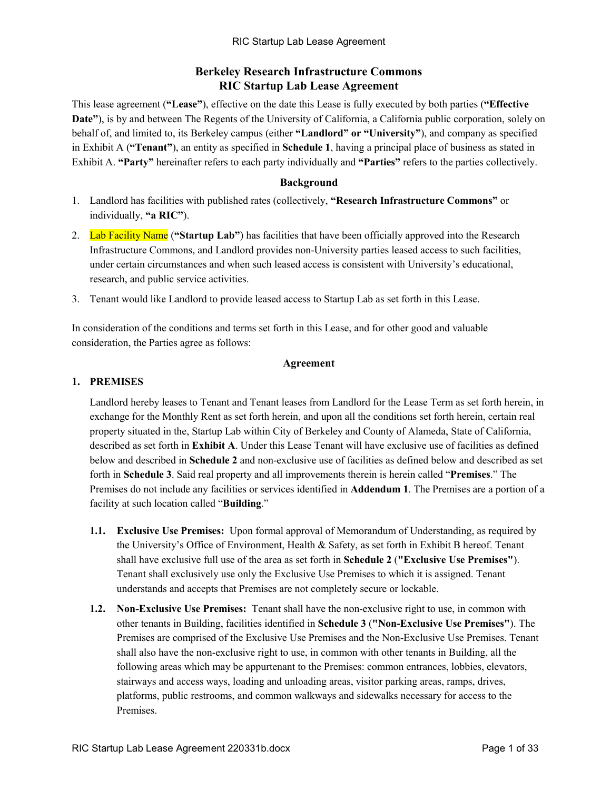# **Berkeley Research Infrastructure Commons RIC Startup Lab Lease Agreement**

This lease agreement (**"Lease"**), effective on the date this Lease is fully executed by both parties (**"Effective Date"**), is by and between The Regents of the University of California, a California public corporation, solely on behalf of, and limited to, its Berkeley campus (either **"Landlord" or "University"**), and company as specified in Exhibit A (**"Tenant"**), an entity as specified in **Schedule 1**, having a principal place of business as stated in Exhibit A. **"Party"** hereinafter refers to each party individually and **"Parties"** refers to the parties collectively.

# **Background**

- 1. Landlord has facilities with published rates (collectively, **"Research Infrastructure Commons"** or individually, **"a RIC"**).
- 2. Lab Facility Name (**"Startup Lab"**) has facilities that have been officially approved into the Research Infrastructure Commons, and Landlord provides non-University parties leased access to such facilities, under certain circumstances and when such leased access is consistent with University's educational, research, and public service activities.
- 3. Tenant would like Landlord to provide leased access to Startup Lab as set forth in this Lease.

In consideration of the conditions and terms set forth in this Lease, and for other good and valuable consideration, the Parties agree as follows:

# **Agreement**

# **1. PREMISES**

Landlord hereby leases to Tenant and Tenant leases from Landlord for the Lease Term as set forth herein, in exchange for the Monthly Rent as set forth herein, and upon all the conditions set forth herein, certain real property situated in the, Startup Lab within City of Berkeley and County of Alameda, State of California, described as set forth in **Exhibit A**. Under this Lease Tenant will have exclusive use of facilities as defined below and described in **Schedule 2** and non-exclusive use of facilities as defined below and described as set forth in **Schedule 3**. Said real property and all improvements therein is herein called "**Premises**." The Premises do not include any facilities or services identified in **Addendum 1**. The Premises are a portion of a facility at such location called "**Building**."

- **1.1. Exclusive Use Premises:** Upon formal approval of Memorandum of Understanding, as required by the University's Office of Environment, Health & Safety, as set forth in Exhibit B hereof. Tenant shall have exclusive full use of the area as set forth in **Schedule 2** (**"Exclusive Use Premises"**). Tenant shall exclusively use only the Exclusive Use Premises to which it is assigned. Tenant understands and accepts that Premises are not completely secure or lockable.
- **1.2. Non-Exclusive Use Premises:** Tenant shall have the non-exclusive right to use, in common with other tenants in Building, facilities identified in **Schedule 3** (**"Non-Exclusive Use Premises"**). The Premises are comprised of the Exclusive Use Premises and the Non-Exclusive Use Premises. Tenant shall also have the non-exclusive right to use, in common with other tenants in Building, all the following areas which may be appurtenant to the Premises: common entrances, lobbies, elevators, stairways and access ways, loading and unloading areas, visitor parking areas, ramps, drives, platforms, public restrooms, and common walkways and sidewalks necessary for access to the Premises.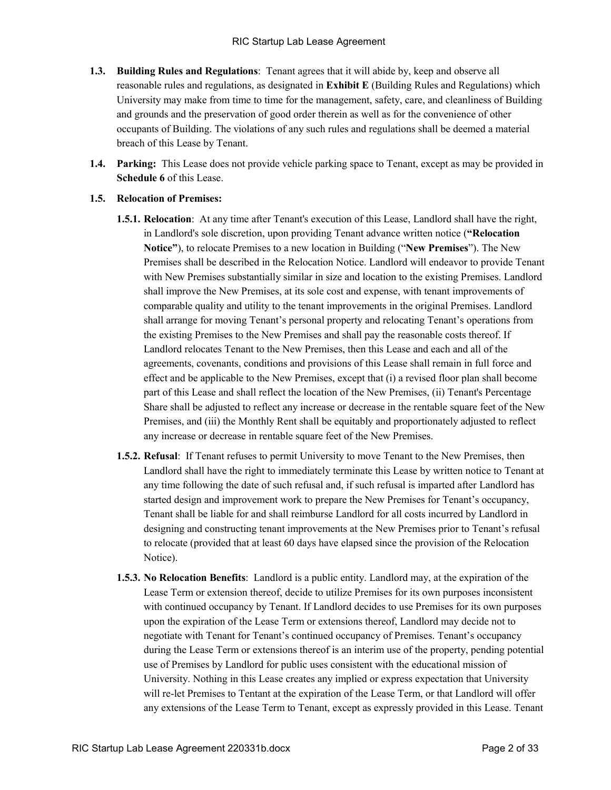- **1.3. Building Rules and Regulations**: Tenant agrees that it will abide by, keep and observe all reasonable rules and regulations, as designated in **Exhibit E** (Building Rules and Regulations) which University may make from time to time for the management, safety, care, and cleanliness of Building and grounds and the preservation of good order therein as well as for the convenience of other occupants of Building. The violations of any such rules and regulations shall be deemed a material breach of this Lease by Tenant.
- **1.4. Parking:** This Lease does not provide vehicle parking space to Tenant, except as may be provided in **Schedule 6** of this Lease.

# **1.5. Relocation of Premises:**

- **1.5.1. Relocation**: At any time after Tenant's execution of this Lease, Landlord shall have the right, in Landlord's sole discretion, upon providing Tenant advance written notice (**"Relocation Notice"**), to relocate Premises to a new location in Building ("**New Premises**"). The New Premises shall be described in the Relocation Notice. Landlord will endeavor to provide Tenant with New Premises substantially similar in size and location to the existing Premises. Landlord shall improve the New Premises, at its sole cost and expense, with tenant improvements of comparable quality and utility to the tenant improvements in the original Premises. Landlord shall arrange for moving Tenant's personal property and relocating Tenant's operations from the existing Premises to the New Premises and shall pay the reasonable costs thereof. If Landlord relocates Tenant to the New Premises, then this Lease and each and all of the agreements, covenants, conditions and provisions of this Lease shall remain in full force and effect and be applicable to the New Premises, except that (i) a revised floor plan shall become part of this Lease and shall reflect the location of the New Premises, (ii) Tenant's Percentage Share shall be adjusted to reflect any increase or decrease in the rentable square feet of the New Premises, and (iii) the Monthly Rent shall be equitably and proportionately adjusted to reflect any increase or decrease in rentable square feet of the New Premises.
- **1.5.2. Refusal**: If Tenant refuses to permit University to move Tenant to the New Premises, then Landlord shall have the right to immediately terminate this Lease by written notice to Tenant at any time following the date of such refusal and, if such refusal is imparted after Landlord has started design and improvement work to prepare the New Premises for Tenant's occupancy, Tenant shall be liable for and shall reimburse Landlord for all costs incurred by Landlord in designing and constructing tenant improvements at the New Premises prior to Tenant's refusal to relocate (provided that at least 60 days have elapsed since the provision of the Relocation Notice).
- **1.5.3. No Relocation Benefits**: Landlord is a public entity. Landlord may, at the expiration of the Lease Term or extension thereof, decide to utilize Premises for its own purposes inconsistent with continued occupancy by Tenant. If Landlord decides to use Premises for its own purposes upon the expiration of the Lease Term or extensions thereof, Landlord may decide not to negotiate with Tenant for Tenant's continued occupancy of Premises. Tenant's occupancy during the Lease Term or extensions thereof is an interim use of the property, pending potential use of Premises by Landlord for public uses consistent with the educational mission of University. Nothing in this Lease creates any implied or express expectation that University will re-let Premises to Tentant at the expiration of the Lease Term, or that Landlord will offer any extensions of the Lease Term to Tenant, except as expressly provided in this Lease. Tenant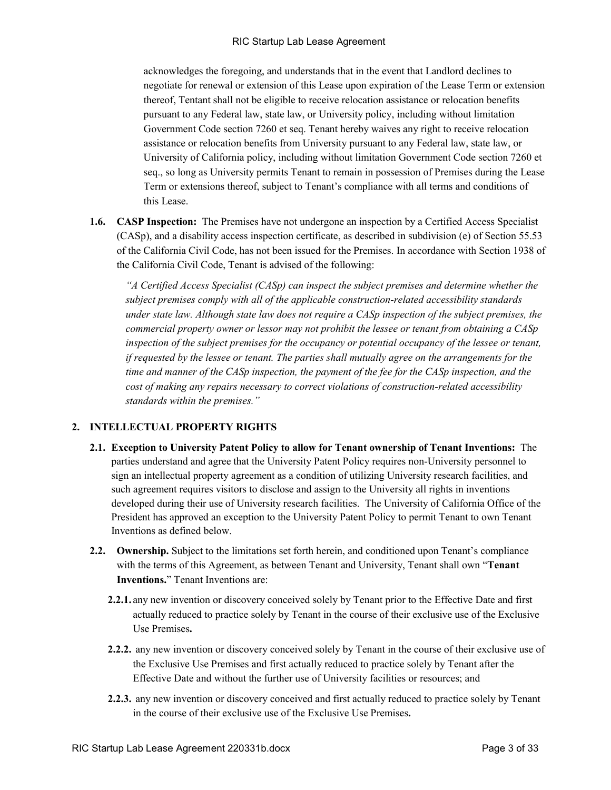acknowledges the foregoing, and understands that in the event that Landlord declines to negotiate for renewal or extension of this Lease upon expiration of the Lease Term or extension thereof, Tentant shall not be eligible to receive relocation assistance or relocation benefits pursuant to any Federal law, state law, or University policy, including without limitation Government Code section 7260 et seq. Tenant hereby waives any right to receive relocation assistance or relocation benefits from University pursuant to any Federal law, state law, or University of California policy, including without limitation Government Code section 7260 et seq., so long as University permits Tenant to remain in possession of Premises during the Lease Term or extensions thereof, subject to Tenant's compliance with all terms and conditions of this Lease.

**1.6. CASP Inspection:** The Premises have not undergone an inspection by a Certified Access Specialist (CASp), and a disability access inspection certificate, as described in subdivision (e) of Section 55.53 of the California Civil Code, has not been issued for the Premises. In accordance with Section 1938 of the California Civil Code, Tenant is advised of the following:

*"A Certified Access Specialist (CASp) can inspect the subject premises and determine whether the subject premises comply with all of the applicable construction-related accessibility standards under state law. Although state law does not require a CASp inspection of the subject premises, the commercial property owner or lessor may not prohibit the lessee or tenant from obtaining a CASp inspection of the subject premises for the occupancy or potential occupancy of the lessee or tenant, if requested by the lessee or tenant. The parties shall mutually agree on the arrangements for the time and manner of the CASp inspection, the payment of the fee for the CASp inspection, and the cost of making any repairs necessary to correct violations of construction-related accessibility standards within the premises."*

# **2. INTELLECTUAL PROPERTY RIGHTS**

- **2.1. Exception to University Patent Policy to allow for Tenant ownership of Tenant Inventions:** The parties understand and agree that the University Patent Policy requires non-University personnel to sign an intellectual property agreement as a condition of utilizing University research facilities, and such agreement requires visitors to disclose and assign to the University all rights in inventions developed during their use of University research facilities. The University of California Office of the President has approved an exception to the University Patent Policy to permit Tenant to own Tenant Inventions as defined below.
- **2.2. Ownership.** Subject to the limitations set forth herein, and conditioned upon Tenant's compliance with the terms of this Agreement, as between Tenant and University, Tenant shall own "**Tenant Inventions.**" Tenant Inventions are:
	- **2.2.1.** any new invention or discovery conceived solely by Tenant prior to the Effective Date and first actually reduced to practice solely by Tenant in the course of their exclusive use of the Exclusive Use Premises**.**
	- **2.2.2.** any new invention or discovery conceived solely by Tenant in the course of their exclusive use of the Exclusive Use Premises and first actually reduced to practice solely by Tenant after the Effective Date and without the further use of University facilities or resources; and
	- **2.2.3.** any new invention or discovery conceived and first actually reduced to practice solely by Tenant in the course of their exclusive use of the Exclusive Use Premises**.**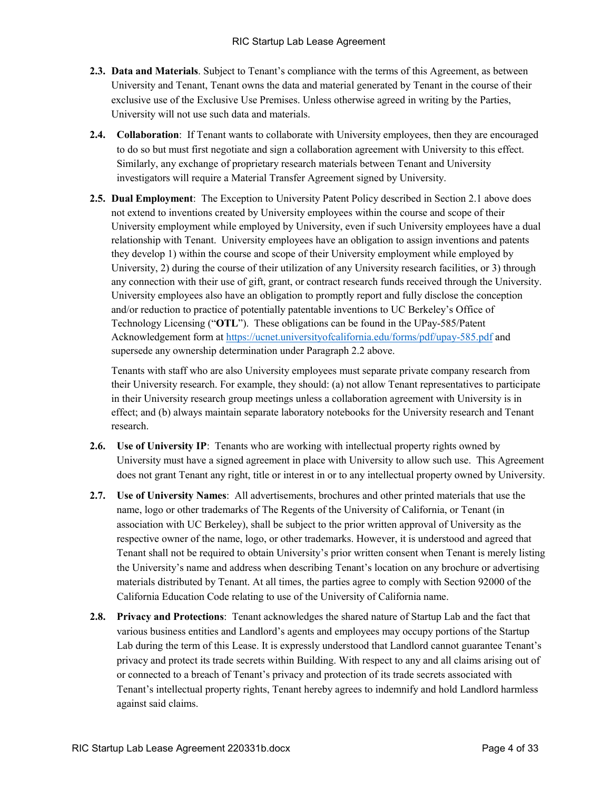- **2.3. Data and Materials**. Subject to Tenant's compliance with the terms of this Agreement, as between University and Tenant, Tenant owns the data and material generated by Tenant in the course of their exclusive use of the Exclusive Use Premises. Unless otherwise agreed in writing by the Parties, University will not use such data and materials.
- **2.4. Collaboration**: If Tenant wants to collaborate with University employees, then they are encouraged to do so but must first negotiate and sign a collaboration agreement with University to this effect. Similarly, any exchange of proprietary research materials between Tenant and University investigators will require a Material Transfer Agreement signed by University.
- **2.5. Dual Employment**: The Exception to University Patent Policy described in Section 2.1 above does not extend to inventions created by University employees within the course and scope of their University employment while employed by University, even if such University employees have a dual relationship with Tenant. University employees have an obligation to assign inventions and patents they develop 1) within the course and scope of their University employment while employed by University, 2) during the course of their utilization of any University research facilities, or 3) through any connection with their use of gift, grant, or contract research funds received through the University. University employees also have an obligation to promptly report and fully disclose the conception and/or reduction to practice of potentially patentable inventions to UC Berkeley's Office of Technology Licensing ("**OTL**"). These obligations can be found in the UPay-585/Patent Acknowledgement form at<https://ucnet.universityofcalifornia.edu/forms/pdf/upay-585.pdf> and supersede any ownership determination under Paragraph 2.2 above.

Tenants with staff who are also University employees must separate private company research from their University research. For example, they should: (a) not allow Tenant representatives to participate in their University research group meetings unless a collaboration agreement with University is in effect; and (b) always maintain separate laboratory notebooks for the University research and Tenant research.

- **2.6. Use of University IP**: Tenants who are working with intellectual property rights owned by University must have a signed agreement in place with University to allow such use. This Agreement does not grant Tenant any right, title or interest in or to any intellectual property owned by University.
- **2.7. Use of University Names**: All advertisements, brochures and other printed materials that use the name, logo or other trademarks of The Regents of the University of California, or Tenant (in association with UC Berkeley), shall be subject to the prior written approval of University as the respective owner of the name, logo, or other trademarks. However, it is understood and agreed that Tenant shall not be required to obtain University's prior written consent when Tenant is merely listing the University's name and address when describing Tenant's location on any brochure or advertising materials distributed by Tenant. At all times, the parties agree to comply with Section 92000 of the California Education Code relating to use of the University of California name.
- **2.8. Privacy and Protections**: Tenant acknowledges the shared nature of Startup Lab and the fact that various business entities and Landlord's agents and employees may occupy portions of the Startup Lab during the term of this Lease. It is expressly understood that Landlord cannot guarantee Tenant's privacy and protect its trade secrets within Building. With respect to any and all claims arising out of or connected to a breach of Tenant's privacy and protection of its trade secrets associated with Tenant's intellectual property rights, Tenant hereby agrees to indemnify and hold Landlord harmless against said claims.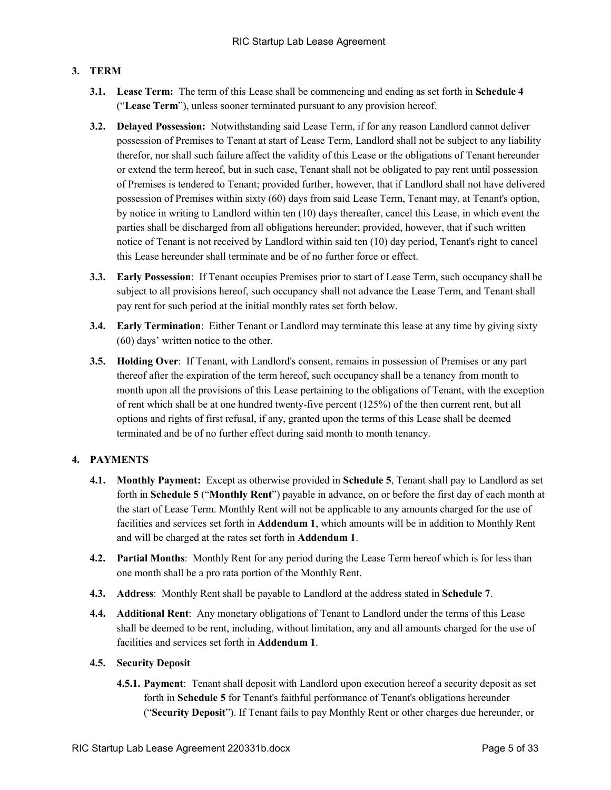# **3. TERM**

- **3.1. Lease Term:** The term of this Lease shall be commencing and ending as set forth in **Schedule 4** ("**Lease Term**"), unless sooner terminated pursuant to any provision hereof.
- **3.2. Delayed Possession:** Notwithstanding said Lease Term, if for any reason Landlord cannot deliver possession of Premises to Tenant at start of Lease Term, Landlord shall not be subject to any liability therefor, nor shall such failure affect the validity of this Lease or the obligations of Tenant hereunder or extend the term hereof, but in such case, Tenant shall not be obligated to pay rent until possession of Premises is tendered to Tenant; provided further, however, that if Landlord shall not have delivered possession of Premises within sixty (60) days from said Lease Term, Tenant may, at Tenant's option, by notice in writing to Landlord within ten (10) days thereafter, cancel this Lease, in which event the parties shall be discharged from all obligations hereunder; provided, however, that if such written notice of Tenant is not received by Landlord within said ten (10) day period, Tenant's right to cancel this Lease hereunder shall terminate and be of no further force or effect.
- **3.3. Early Possession**: If Tenant occupies Premises prior to start of Lease Term, such occupancy shall be subject to all provisions hereof, such occupancy shall not advance the Lease Term, and Tenant shall pay rent for such period at the initial monthly rates set forth below.
- **3.4. Early Termination**:Either Tenant or Landlord may terminate this lease at any time by giving sixty (60) days' written notice to the other.
- **3.5. Holding Over**: If Tenant, with Landlord's consent, remains in possession of Premises or any part thereof after the expiration of the term hereof, such occupancy shall be a tenancy from month to month upon all the provisions of this Lease pertaining to the obligations of Tenant, with the exception of rent which shall be at one hundred twenty-five percent (125%) of the then current rent, but all options and rights of first refusal, if any, granted upon the terms of this Lease shall be deemed terminated and be of no further effect during said month to month tenancy.

# **4. PAYMENTS**

- **4.1. Monthly Payment:** Except as otherwise provided in **Schedule 5**, Tenant shall pay to Landlord as set forth in **Schedule 5** ("**Monthly Rent**") payable in advance, on or before the first day of each month at the start of Lease Term. Monthly Rent will not be applicable to any amounts charged for the use of facilities and services set forth in **Addendum 1**, which amounts will be in addition to Monthly Rent and will be charged at the rates set forth in **Addendum 1**.
- **4.2. Partial Months**: Monthly Rent for any period during the Lease Term hereof which is for less than one month shall be a pro rata portion of the Monthly Rent.
- **4.3. Address**: Monthly Rent shall be payable to Landlord at the address stated in **Schedule 7**.
- **4.4. Additional Rent**: Any monetary obligations of Tenant to Landlord under the terms of this Lease shall be deemed to be rent, including, without limitation, any and all amounts charged for the use of facilities and services set forth in **Addendum 1**.

#### **4.5. Security Deposit**

**4.5.1. Payment**: Tenant shall deposit with Landlord upon execution hereof a security deposit as set forth in **Schedule 5** for Tenant's faithful performance of Tenant's obligations hereunder ("**Security Deposit**"). If Tenant fails to pay Monthly Rent or other charges due hereunder, or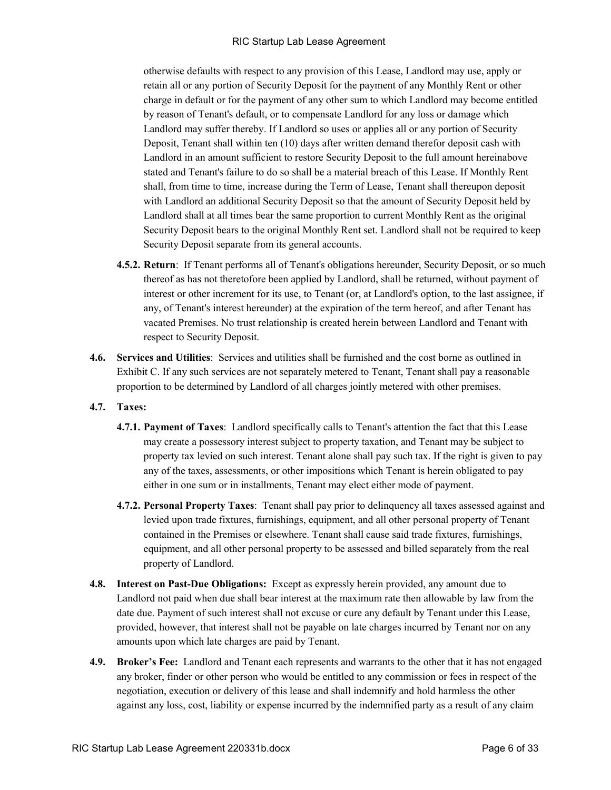otherwise defaults with respect to any provision of this Lease, Landlord may use, apply or retain all or any portion of Security Deposit for the payment of any Monthly Rent or other charge in default or for the payment of any other sum to which Landlord may become entitled by reason of Tenant's default, or to compensate Landlord for any loss or damage which Landlord may suffer thereby. If Landlord so uses or applies all or any portion of Security Deposit, Tenant shall within ten (10) days after written demand therefor deposit cash with Landlord in an amount sufficient to restore Security Deposit to the full amount hereinabove stated and Tenant's failure to do so shall be a material breach of this Lease. If Monthly Rent shall, from time to time, increase during the Term of Lease, Tenant shall thereupon deposit with Landlord an additional Security Deposit so that the amount of Security Deposit held by Landlord shall at all times bear the same proportion to current Monthly Rent as the original Security Deposit bears to the original Monthly Rent set. Landlord shall not be required to keep Security Deposit separate from its general accounts.

- **4.5.2. Return**: If Tenant performs all of Tenant's obligations hereunder, Security Deposit, or so much thereof as has not theretofore been applied by Landlord, shall be returned, without payment of interest or other increment for its use, to Tenant (or, at Landlord's option, to the last assignee, if any, of Tenant's interest hereunder) at the expiration of the term hereof, and after Tenant has vacated Premises. No trust relationship is created herein between Landlord and Tenant with respect to Security Deposit.
- **4.6. Services and Utilities**: Services and utilities shall be furnished and the cost borne as outlined in Exhibit C. If any such services are not separately metered to Tenant, Tenant shall pay a reasonable proportion to be determined by Landlord of all charges jointly metered with other premises.
- **4.7. Taxes:**
	- **4.7.1. Payment of Taxes**: Landlord specifically calls to Tenant's attention the fact that this Lease may create a possessory interest subject to property taxation, and Tenant may be subject to property tax levied on such interest. Tenant alone shall pay such tax. If the right is given to pay any of the taxes, assessments, or other impositions which Tenant is herein obligated to pay either in one sum or in installments, Tenant may elect either mode of payment.
	- **4.7.2. Personal Property Taxes**: Tenant shall pay prior to delinquency all taxes assessed against and levied upon trade fixtures, furnishings, equipment, and all other personal property of Tenant contained in the Premises or elsewhere. Tenant shall cause said trade fixtures, furnishings, equipment, and all other personal property to be assessed and billed separately from the real property of Landlord.
- **4.8. Interest on Past-Due Obligations:** Except as expressly herein provided, any amount due to Landlord not paid when due shall bear interest at the maximum rate then allowable by law from the date due. Payment of such interest shall not excuse or cure any default by Tenant under this Lease, provided, however, that interest shall not be payable on late charges incurred by Tenant nor on any amounts upon which late charges are paid by Tenant.
- **4.9. Broker's Fee:** Landlord and Tenant each represents and warrants to the other that it has not engaged any broker, finder or other person who would be entitled to any commission or fees in respect of the negotiation, execution or delivery of this lease and shall indemnify and hold harmless the other against any loss, cost, liability or expense incurred by the indemnified party as a result of any claim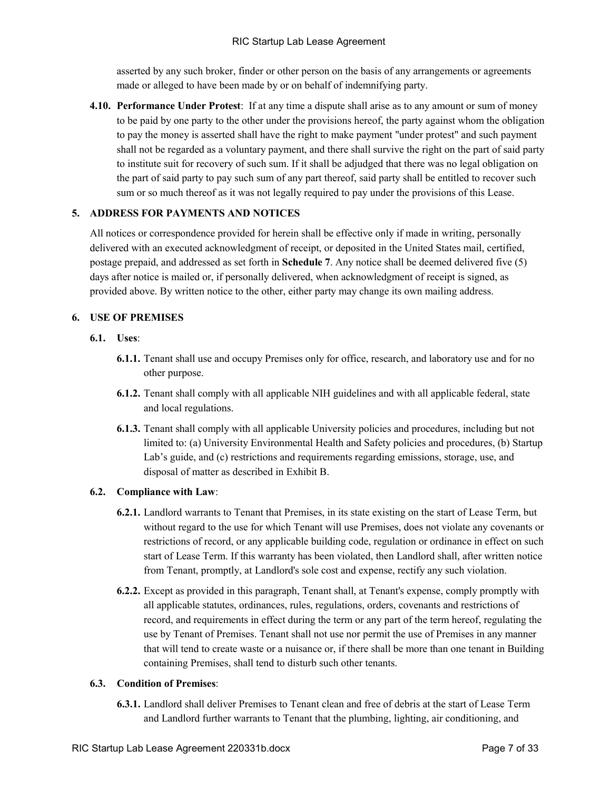asserted by any such broker, finder or other person on the basis of any arrangements or agreements made or alleged to have been made by or on behalf of indemnifying party.

**4.10. Performance Under Protest**: If at any time a dispute shall arise as to any amount or sum of money to be paid by one party to the other under the provisions hereof, the party against whom the obligation to pay the money is asserted shall have the right to make payment "under protest" and such payment shall not be regarded as a voluntary payment, and there shall survive the right on the part of said party to institute suit for recovery of such sum. If it shall be adjudged that there was no legal obligation on the part of said party to pay such sum of any part thereof, said party shall be entitled to recover such sum or so much thereof as it was not legally required to pay under the provisions of this Lease.

#### **5. ADDRESS FOR PAYMENTS AND NOTICES**

All notices or correspondence provided for herein shall be effective only if made in writing, personally delivered with an executed acknowledgment of receipt, or deposited in the United States mail, certified, postage prepaid, and addressed as set forth in **Schedule 7**. Any notice shall be deemed delivered five (5) days after notice is mailed or, if personally delivered, when acknowledgment of receipt is signed, as provided above. By written notice to the other, either party may change its own mailing address.

# **6. USE OF PREMISES**

- **6.1. Uses**:
	- **6.1.1.** Tenant shall use and occupy Premises only for office, research, and laboratory use and for no other purpose.
	- **6.1.2.** Tenant shall comply with all applicable NIH guidelines and with all applicable federal, state and local regulations.
	- **6.1.3.** Tenant shall comply with all applicable University policies and procedures, including but not limited to: (a) University Environmental Health and Safety policies and procedures, (b) Startup Lab's guide, and (c) restrictions and requirements regarding emissions, storage, use, and disposal of matter as described in Exhibit B.

# **6.2. Compliance with Law**:

- **6.2.1.** Landlord warrants to Tenant that Premises, in its state existing on the start of Lease Term, but without regard to the use for which Tenant will use Premises, does not violate any covenants or restrictions of record, or any applicable building code, regulation or ordinance in effect on such start of Lease Term. If this warranty has been violated, then Landlord shall, after written notice from Tenant, promptly, at Landlord's sole cost and expense, rectify any such violation.
- **6.2.2.** Except as provided in this paragraph, Tenant shall, at Tenant's expense, comply promptly with all applicable statutes, ordinances, rules, regulations, orders, covenants and restrictions of record, and requirements in effect during the term or any part of the term hereof, regulating the use by Tenant of Premises. Tenant shall not use nor permit the use of Premises in any manner that will tend to create waste or a nuisance or, if there shall be more than one tenant in Building containing Premises, shall tend to disturb such other tenants.

#### **6.3. Condition of Premises**:

**6.3.1.** Landlord shall deliver Premises to Tenant clean and free of debris at the start of Lease Term and Landlord further warrants to Tenant that the plumbing, lighting, air conditioning, and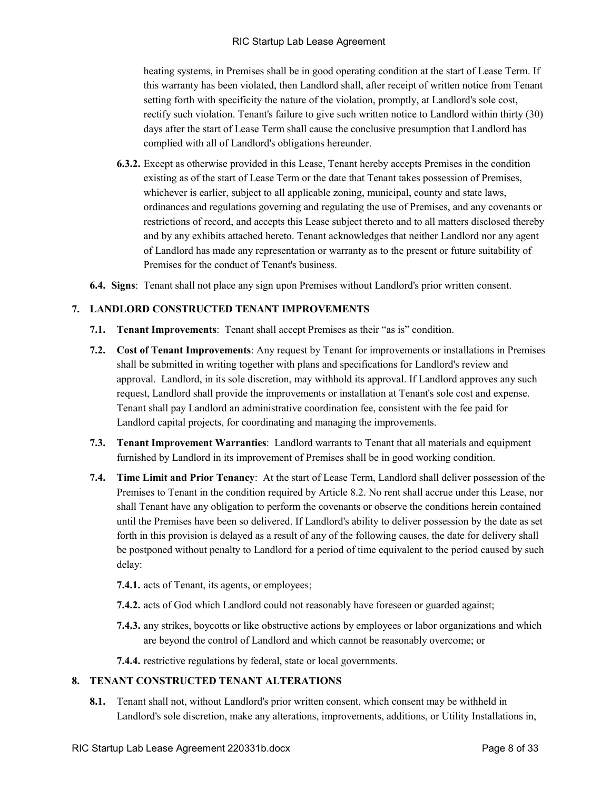heating systems, in Premises shall be in good operating condition at the start of Lease Term. If this warranty has been violated, then Landlord shall, after receipt of written notice from Tenant setting forth with specificity the nature of the violation, promptly, at Landlord's sole cost, rectify such violation. Tenant's failure to give such written notice to Landlord within thirty (30) days after the start of Lease Term shall cause the conclusive presumption that Landlord has complied with all of Landlord's obligations hereunder.

- **6.3.2.** Except as otherwise provided in this Lease, Tenant hereby accepts Premises in the condition existing as of the start of Lease Term or the date that Tenant takes possession of Premises, whichever is earlier, subject to all applicable zoning, municipal, county and state laws, ordinances and regulations governing and regulating the use of Premises, and any covenants or restrictions of record, and accepts this Lease subject thereto and to all matters disclosed thereby and by any exhibits attached hereto. Tenant acknowledges that neither Landlord nor any agent of Landlord has made any representation or warranty as to the present or future suitability of Premises for the conduct of Tenant's business.
- **6.4. Signs**: Tenant shall not place any sign upon Premises without Landlord's prior written consent.

# **7. LANDLORD CONSTRUCTED TENANT IMPROVEMENTS**

- **7.1. Tenant Improvements**:Tenant shall accept Premises as their "as is" condition.
- **7.2. Cost of Tenant Improvements**: Any request by Tenant for improvements or installations in Premises shall be submitted in writing together with plans and specifications for Landlord's review and approval. Landlord, in its sole discretion, may withhold its approval. If Landlord approves any such request, Landlord shall provide the improvements or installation at Tenant's sole cost and expense. Tenant shall pay Landlord an administrative coordination fee, consistent with the fee paid for Landlord capital projects, for coordinating and managing the improvements.
- **7.3. Tenant Improvement Warranties**: Landlord warrants to Tenant that all materials and equipment furnished by Landlord in its improvement of Premises shall be in good working condition.
- **7.4. Time Limit and Prior Tenancy**: At the start of Lease Term, Landlord shall deliver possession of the Premises to Tenant in the condition required by Article 8.2. No rent shall accrue under this Lease, nor shall Tenant have any obligation to perform the covenants or observe the conditions herein contained until the Premises have been so delivered. If Landlord's ability to deliver possession by the date as set forth in this provision is delayed as a result of any of the following causes, the date for delivery shall be postponed without penalty to Landlord for a period of time equivalent to the period caused by such delay:
	- **7.4.1.** acts of Tenant, its agents, or employees;
	- **7.4.2.** acts of God which Landlord could not reasonably have foreseen or guarded against;
	- **7.4.3.** any strikes, boycotts or like obstructive actions by employees or labor organizations and which are beyond the control of Landlord and which cannot be reasonably overcome; or
	- **7.4.4.** restrictive regulations by federal, state or local governments.

### **8. TENANT CONSTRUCTED TENANT ALTERATIONS**

**8.1.** Tenant shall not, without Landlord's prior written consent, which consent may be withheld in Landlord's sole discretion, make any alterations, improvements, additions, or Utility Installations in,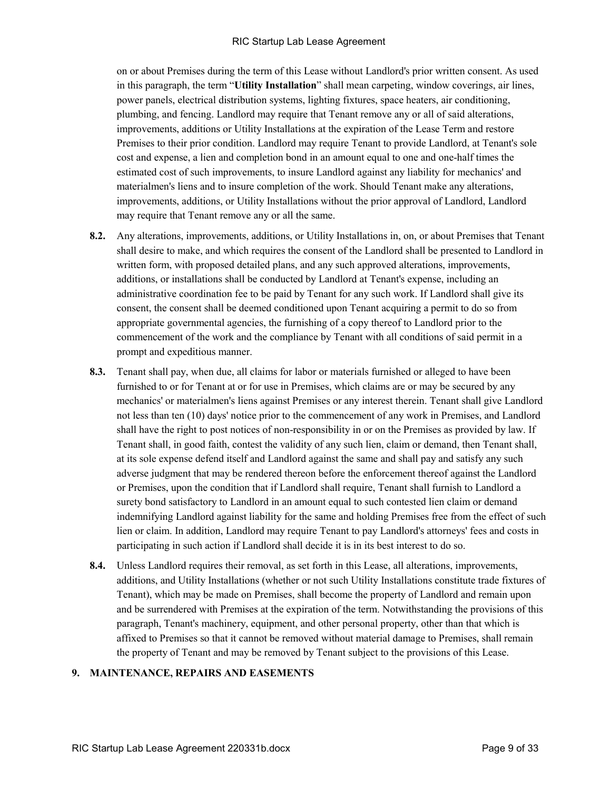on or about Premises during the term of this Lease without Landlord's prior written consent. As used in this paragraph, the term "**Utility Installation**" shall mean carpeting, window coverings, air lines, power panels, electrical distribution systems, lighting fixtures, space heaters, air conditioning, plumbing, and fencing. Landlord may require that Tenant remove any or all of said alterations, improvements, additions or Utility Installations at the expiration of the Lease Term and restore Premises to their prior condition. Landlord may require Tenant to provide Landlord, at Tenant's sole cost and expense, a lien and completion bond in an amount equal to one and one-half times the estimated cost of such improvements, to insure Landlord against any liability for mechanics' and materialmen's liens and to insure completion of the work. Should Tenant make any alterations, improvements, additions, or Utility Installations without the prior approval of Landlord, Landlord may require that Tenant remove any or all the same.

- **8.2.** Any alterations, improvements, additions, or Utility Installations in, on, or about Premises that Tenant shall desire to make, and which requires the consent of the Landlord shall be presented to Landlord in written form, with proposed detailed plans, and any such approved alterations, improvements, additions, or installations shall be conducted by Landlord at Tenant's expense, including an administrative coordination fee to be paid by Tenant for any such work. If Landlord shall give its consent, the consent shall be deemed conditioned upon Tenant acquiring a permit to do so from appropriate governmental agencies, the furnishing of a copy thereof to Landlord prior to the commencement of the work and the compliance by Tenant with all conditions of said permit in a prompt and expeditious manner.
- **8.3.** Tenant shall pay, when due, all claims for labor or materials furnished or alleged to have been furnished to or for Tenant at or for use in Premises, which claims are or may be secured by any mechanics' or materialmen's liens against Premises or any interest therein. Tenant shall give Landlord not less than ten (10) days' notice prior to the commencement of any work in Premises, and Landlord shall have the right to post notices of non-responsibility in or on the Premises as provided by law. If Tenant shall, in good faith, contest the validity of any such lien, claim or demand, then Tenant shall, at its sole expense defend itself and Landlord against the same and shall pay and satisfy any such adverse judgment that may be rendered thereon before the enforcement thereof against the Landlord or Premises, upon the condition that if Landlord shall require, Tenant shall furnish to Landlord a surety bond satisfactory to Landlord in an amount equal to such contested lien claim or demand indemnifying Landlord against liability for the same and holding Premises free from the effect of such lien or claim. In addition, Landlord may require Tenant to pay Landlord's attorneys' fees and costs in participating in such action if Landlord shall decide it is in its best interest to do so.
- **8.4.** Unless Landlord requires their removal, as set forth in this Lease, all alterations, improvements, additions, and Utility Installations (whether or not such Utility Installations constitute trade fixtures of Tenant), which may be made on Premises, shall become the property of Landlord and remain upon and be surrendered with Premises at the expiration of the term. Notwithstanding the provisions of this paragraph, Tenant's machinery, equipment, and other personal property, other than that which is affixed to Premises so that it cannot be removed without material damage to Premises, shall remain the property of Tenant and may be removed by Tenant subject to the provisions of this Lease.

#### **9. MAINTENANCE, REPAIRS AND EASEMENTS**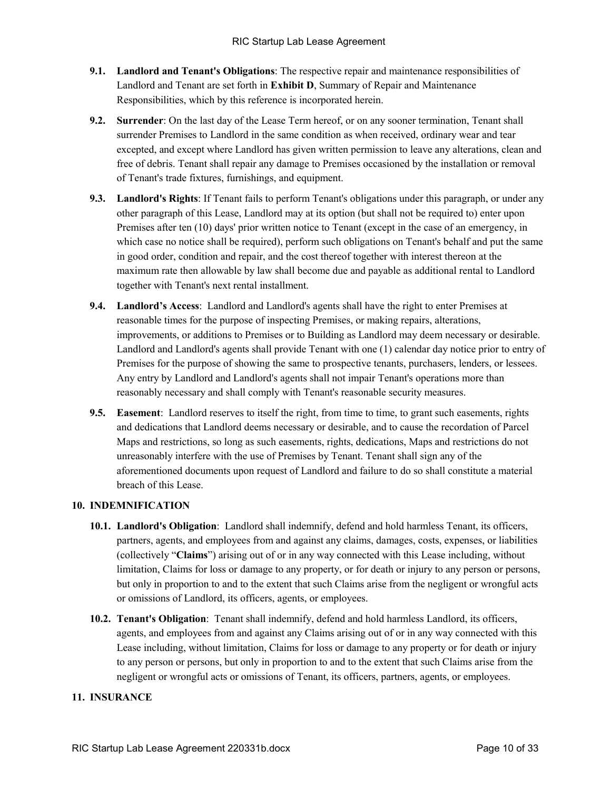- **9.1. Landlord and Tenant's Obligations**: The respective repair and maintenance responsibilities of Landlord and Tenant are set forth in **Exhibit D**, Summary of Repair and Maintenance Responsibilities, which by this reference is incorporated herein.
- **9.2. Surrender**: On the last day of the Lease Term hereof, or on any sooner termination, Tenant shall surrender Premises to Landlord in the same condition as when received, ordinary wear and tear excepted, and except where Landlord has given written permission to leave any alterations, clean and free of debris. Tenant shall repair any damage to Premises occasioned by the installation or removal of Tenant's trade fixtures, furnishings, and equipment.
- **9.3. Landlord's Rights**: If Tenant fails to perform Tenant's obligations under this paragraph, or under any other paragraph of this Lease, Landlord may at its option (but shall not be required to) enter upon Premises after ten (10) days' prior written notice to Tenant (except in the case of an emergency, in which case no notice shall be required), perform such obligations on Tenant's behalf and put the same in good order, condition and repair, and the cost thereof together with interest thereon at the maximum rate then allowable by law shall become due and payable as additional rental to Landlord together with Tenant's next rental installment.
- **9.4. Landlord's Access**: Landlord and Landlord's agents shall have the right to enter Premises at reasonable times for the purpose of inspecting Premises, or making repairs, alterations, improvements, or additions to Premises or to Building as Landlord may deem necessary or desirable. Landlord and Landlord's agents shall provide Tenant with one (1) calendar day notice prior to entry of Premises for the purpose of showing the same to prospective tenants, purchasers, lenders, or lessees. Any entry by Landlord and Landlord's agents shall not impair Tenant's operations more than reasonably necessary and shall comply with Tenant's reasonable security measures.
- **9.5. Easement**: Landlord reserves to itself the right, from time to time, to grant such easements, rights and dedications that Landlord deems necessary or desirable, and to cause the recordation of Parcel Maps and restrictions, so long as such easements, rights, dedications, Maps and restrictions do not unreasonably interfere with the use of Premises by Tenant. Tenant shall sign any of the aforementioned documents upon request of Landlord and failure to do so shall constitute a material breach of this Lease.

# **10. INDEMNIFICATION**

- **10.1. Landlord's Obligation**: Landlord shall indemnify, defend and hold harmless Tenant, its officers, partners, agents, and employees from and against any claims, damages, costs, expenses, or liabilities (collectively "**Claims**") arising out of or in any way connected with this Lease including, without limitation, Claims for loss or damage to any property, or for death or injury to any person or persons, but only in proportion to and to the extent that such Claims arise from the negligent or wrongful acts or omissions of Landlord, its officers, agents, or employees.
- **10.2. Tenant's Obligation**: Tenant shall indemnify, defend and hold harmless Landlord, its officers, agents, and employees from and against any Claims arising out of or in any way connected with this Lease including, without limitation, Claims for loss or damage to any property or for death or injury to any person or persons, but only in proportion to and to the extent that such Claims arise from the negligent or wrongful acts or omissions of Tenant, its officers, partners, agents, or employees.

# **11. INSURANCE**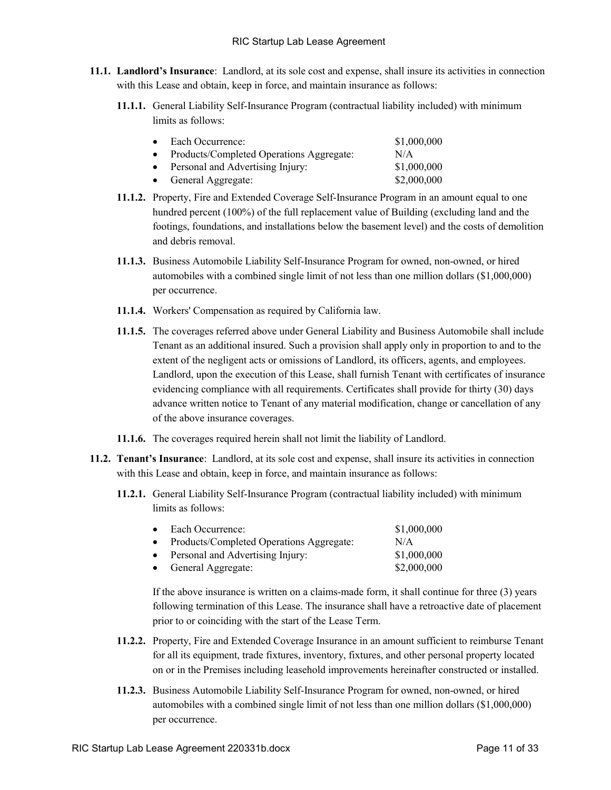- **11.1. Landlord's Insurance**: Landlord, at its sole cost and expense, shall insure its activities in connection with this Lease and obtain, keep in force, and maintain insurance as follows:
	- **11.1.1.** General Liability Self-Insurance Program (contractual liability included) with minimum limits as follows:

| Each Occurrence:                         | \$1,000,000 |
|------------------------------------------|-------------|
| Products/Completed Operations Aggregate: | N/A         |
| Personal and Advertising Injury:         | \$1,000,000 |
| General Aggregate:                       | \$2,000,000 |

- **11.1.2.** Property, Fire and Extended Coverage Self-Insurance Program in an amount equal to one hundred percent (100%) of the full replacement value of Building (excluding land and the footings, foundations, and installations below the basement level) and the costs of demolition and debris removal.
- **11.1.3.** Business Automobile Liability Self-Insurance Program for owned, non-owned, or hired automobiles with a combined single limit of not less than one million dollars (\$1,000,000) per occurrence.
- **11.1.4.** Workers' Compensation as required by California law.
- **11.1.5.** The coverages referred above under General Liability and Business Automobile shall include Tenant as an additional insured. Such a provision shall apply only in proportion to and to the extent of the negligent acts or omissions of Landlord, its officers, agents, and employees. Landlord, upon the execution of this Lease, shall furnish Tenant with certificates of insurance evidencing compliance with all requirements. Certificates shall provide for thirty (30) days advance written notice to Tenant of any material modification, change or cancellation of any of the above insurance coverages.
- **11.1.6.** The coverages required herein shall not limit the liability of Landlord.
- **11.2. Tenant's Insurance**: Landlord, at its sole cost and expense, shall insure its activities in connection with this Lease and obtain, keep in force, and maintain insurance as follows:
	- **11.2.1.** General Liability Self-Insurance Program (contractual liability included) with minimum limits as follows:

| $\bullet$ | Each Occurrence:                         | \$1,000,000 |
|-----------|------------------------------------------|-------------|
| $\bullet$ | Products/Completed Operations Aggregate: | N/A         |
|           | • Personal and Advertising Injury:       | \$1,000,000 |
|           | • General Aggregate:                     | \$2,000,000 |

If the above insurance is written on a claims-made form, it shall continue for three (3) years following termination of this Lease. The insurance shall have a retroactive date of placement prior to or coinciding with the start of the Lease Term.

- **11.2.2.** Property, Fire and Extended Coverage Insurance in an amount sufficient to reimburse Tenant for all its equipment, trade fixtures, inventory, fixtures, and other personal property located on or in the Premises including leasehold improvements hereinafter constructed or installed.
- **11.2.3.** Business Automobile Liability Self-Insurance Program for owned, non-owned, or hired automobiles with a combined single limit of not less than one million dollars (\$1,000,000) per occurrence.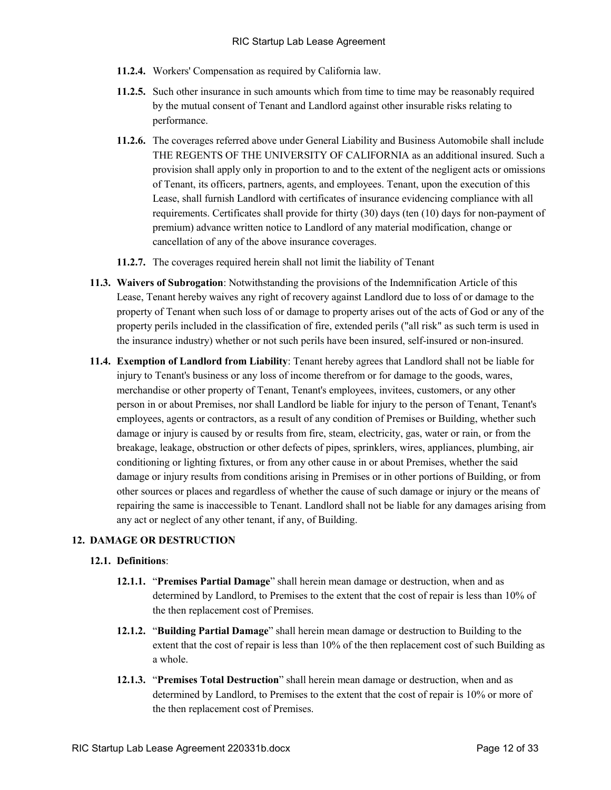- **11.2.4.** Workers' Compensation as required by California law.
- **11.2.5.** Such other insurance in such amounts which from time to time may be reasonably required by the mutual consent of Tenant and Landlord against other insurable risks relating to performance.
- **11.2.6.** The coverages referred above under General Liability and Business Automobile shall include THE REGENTS OF THE UNIVERSITY OF CALIFORNIA as an additional insured. Such a provision shall apply only in proportion to and to the extent of the negligent acts or omissions of Tenant, its officers, partners, agents, and employees. Tenant, upon the execution of this Lease, shall furnish Landlord with certificates of insurance evidencing compliance with all requirements. Certificates shall provide for thirty (30) days (ten (10) days for non-payment of premium) advance written notice to Landlord of any material modification, change or cancellation of any of the above insurance coverages.
- **11.2.7.** The coverages required herein shall not limit the liability of Tenant
- **11.3. Waivers of Subrogation**: Notwithstanding the provisions of the Indemnification Article of this Lease, Tenant hereby waives any right of recovery against Landlord due to loss of or damage to the property of Tenant when such loss of or damage to property arises out of the acts of God or any of the property perils included in the classification of fire, extended perils ("all risk" as such term is used in the insurance industry) whether or not such perils have been insured, self-insured or non-insured.
- **11.4. Exemption of Landlord from Liability**: Tenant hereby agrees that Landlord shall not be liable for injury to Tenant's business or any loss of income therefrom or for damage to the goods, wares, merchandise or other property of Tenant, Tenant's employees, invitees, customers, or any other person in or about Premises, nor shall Landlord be liable for injury to the person of Tenant, Tenant's employees, agents or contractors, as a result of any condition of Premises or Building, whether such damage or injury is caused by or results from fire, steam, electricity, gas, water or rain, or from the breakage, leakage, obstruction or other defects of pipes, sprinklers, wires, appliances, plumbing, air conditioning or lighting fixtures, or from any other cause in or about Premises, whether the said damage or injury results from conditions arising in Premises or in other portions of Building, or from other sources or places and regardless of whether the cause of such damage or injury or the means of repairing the same is inaccessible to Tenant. Landlord shall not be liable for any damages arising from any act or neglect of any other tenant, if any, of Building.

# **12. DAMAGE OR DESTRUCTION**

# **12.1. Definitions**:

- **12.1.1.** "**Premises Partial Damage**" shall herein mean damage or destruction, when and as determined by Landlord, to Premises to the extent that the cost of repair is less than 10% of the then replacement cost of Premises.
- **12.1.2.** "**Building Partial Damage**" shall herein mean damage or destruction to Building to the extent that the cost of repair is less than 10% of the then replacement cost of such Building as a whole.
- **12.1.3.** "**Premises Total Destruction**" shall herein mean damage or destruction, when and as determined by Landlord, to Premises to the extent that the cost of repair is 10% or more of the then replacement cost of Premises.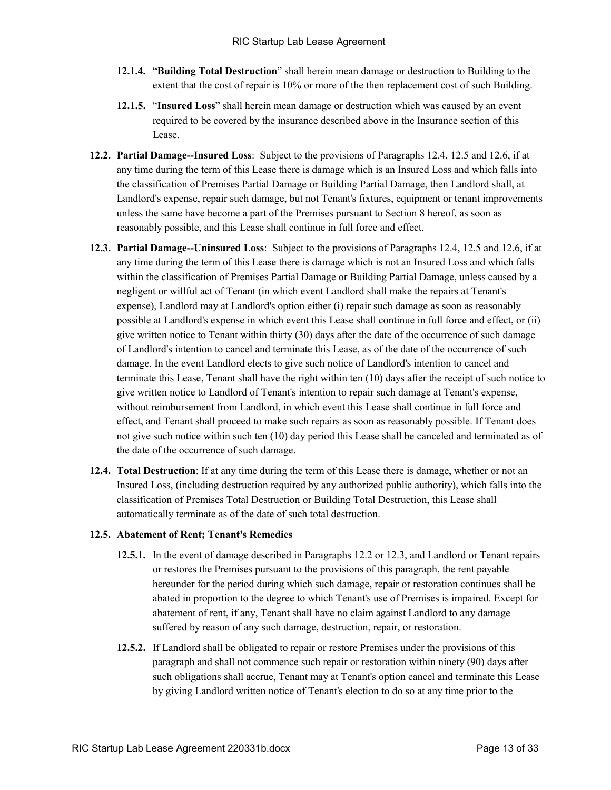- **12.1.4.** "**Building Total Destruction**" shall herein mean damage or destruction to Building to the extent that the cost of repair is 10% or more of the then replacement cost of such Building.
- **12.1.5.** "**Insured Loss**" shall herein mean damage or destruction which was caused by an event required to be covered by the insurance described above in the Insurance section of this Lease.
- **12.2. Partial Damage--Insured Loss**: Subject to the provisions of Paragraphs 12.4, 12.5 and 12.6, if at any time during the term of this Lease there is damage which is an Insured Loss and which falls into the classification of Premises Partial Damage or Building Partial Damage, then Landlord shall, at Landlord's expense, repair such damage, but not Tenant's fixtures, equipment or tenant improvements unless the same have become a part of the Premises pursuant to Section 8 hereof, as soon as reasonably possible, and this Lease shall continue in full force and effect.
- **12.3. Partial Damage--Uninsured Loss**: Subject to the provisions of Paragraphs 12.4, 12.5 and 12.6, if at any time during the term of this Lease there is damage which is not an Insured Loss and which falls within the classification of Premises Partial Damage or Building Partial Damage, unless caused by a negligent or willful act of Tenant (in which event Landlord shall make the repairs at Tenant's expense), Landlord may at Landlord's option either (i) repair such damage as soon as reasonably possible at Landlord's expense in which event this Lease shall continue in full force and effect, or (ii) give written notice to Tenant within thirty (30) days after the date of the occurrence of such damage of Landlord's intention to cancel and terminate this Lease, as of the date of the occurrence of such damage. In the event Landlord elects to give such notice of Landlord's intention to cancel and terminate this Lease, Tenant shall have the right within ten (10) days after the receipt of such notice to give written notice to Landlord of Tenant's intention to repair such damage at Tenant's expense, without reimbursement from Landlord, in which event this Lease shall continue in full force and effect, and Tenant shall proceed to make such repairs as soon as reasonably possible. If Tenant does not give such notice within such ten (10) day period this Lease shall be canceled and terminated as of the date of the occurrence of such damage.
- **12.4. Total Destruction**: If at any time during the term of this Lease there is damage, whether or not an Insured Loss, (including destruction required by any authorized public authority), which falls into the classification of Premises Total Destruction or Building Total Destruction, this Lease shall automatically terminate as of the date of such total destruction.

# **12.5. Abatement of Rent; Tenant's Remedies**

- **12.5.1.** In the event of damage described in Paragraphs 12.2 or 12.3, and Landlord or Tenant repairs or restores the Premises pursuant to the provisions of this paragraph, the rent payable hereunder for the period during which such damage, repair or restoration continues shall be abated in proportion to the degree to which Tenant's use of Premises is impaired. Except for abatement of rent, if any, Tenant shall have no claim against Landlord to any damage suffered by reason of any such damage, destruction, repair, or restoration.
- **12.5.2.** If Landlord shall be obligated to repair or restore Premises under the provisions of this paragraph and shall not commence such repair or restoration within ninety (90) days after such obligations shall accrue, Tenant may at Tenant's option cancel and terminate this Lease by giving Landlord written notice of Tenant's election to do so at any time prior to the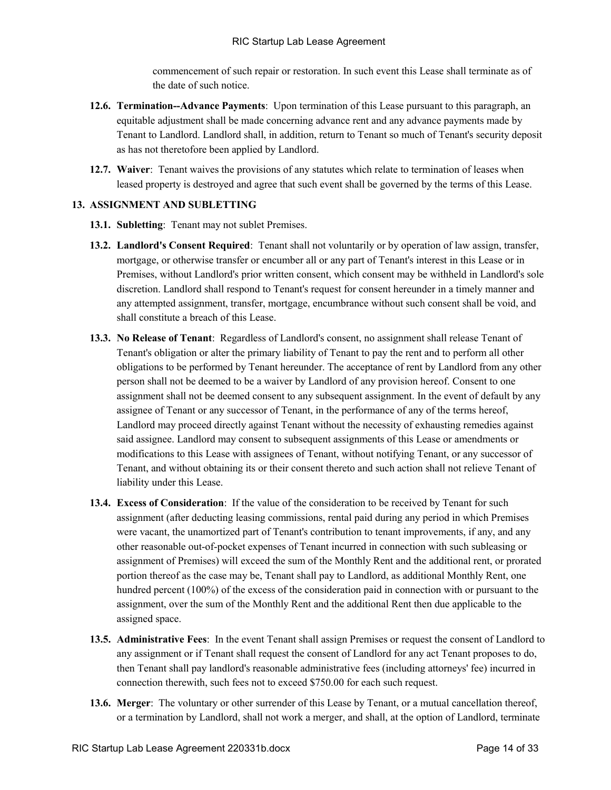commencement of such repair or restoration. In such event this Lease shall terminate as of the date of such notice.

- **12.6. Termination--Advance Payments**: Upon termination of this Lease pursuant to this paragraph, an equitable adjustment shall be made concerning advance rent and any advance payments made by Tenant to Landlord. Landlord shall, in addition, return to Tenant so much of Tenant's security deposit as has not theretofore been applied by Landlord.
- **12.7. Waiver**: Tenant waives the provisions of any statutes which relate to termination of leases when leased property is destroyed and agree that such event shall be governed by the terms of this Lease.

### **13. ASSIGNMENT AND SUBLETTING**

- **13.1. Subletting**: Tenant may not sublet Premises.
- **13.2. Landlord's Consent Required**: Tenant shall not voluntarily or by operation of law assign, transfer, mortgage, or otherwise transfer or encumber all or any part of Tenant's interest in this Lease or in Premises, without Landlord's prior written consent, which consent may be withheld in Landlord's sole discretion. Landlord shall respond to Tenant's request for consent hereunder in a timely manner and any attempted assignment, transfer, mortgage, encumbrance without such consent shall be void, and shall constitute a breach of this Lease.
- **13.3. No Release of Tenant**: Regardless of Landlord's consent, no assignment shall release Tenant of Tenant's obligation or alter the primary liability of Tenant to pay the rent and to perform all other obligations to be performed by Tenant hereunder. The acceptance of rent by Landlord from any other person shall not be deemed to be a waiver by Landlord of any provision hereof. Consent to one assignment shall not be deemed consent to any subsequent assignment. In the event of default by any assignee of Tenant or any successor of Tenant, in the performance of any of the terms hereof, Landlord may proceed directly against Tenant without the necessity of exhausting remedies against said assignee. Landlord may consent to subsequent assignments of this Lease or amendments or modifications to this Lease with assignees of Tenant, without notifying Tenant, or any successor of Tenant, and without obtaining its or their consent thereto and such action shall not relieve Tenant of liability under this Lease.
- **13.4. Excess of Consideration**: If the value of the consideration to be received by Tenant for such assignment (after deducting leasing commissions, rental paid during any period in which Premises were vacant, the unamortized part of Tenant's contribution to tenant improvements, if any, and any other reasonable out-of-pocket expenses of Tenant incurred in connection with such subleasing or assignment of Premises) will exceed the sum of the Monthly Rent and the additional rent, or prorated portion thereof as the case may be, Tenant shall pay to Landlord, as additional Monthly Rent, one hundred percent (100%) of the excess of the consideration paid in connection with or pursuant to the assignment, over the sum of the Monthly Rent and the additional Rent then due applicable to the assigned space.
- **13.5. Administrative Fees**: In the event Tenant shall assign Premises or request the consent of Landlord to any assignment or if Tenant shall request the consent of Landlord for any act Tenant proposes to do, then Tenant shall pay landlord's reasonable administrative fees (including attorneys' fee) incurred in connection therewith, such fees not to exceed \$750.00 for each such request.
- **13.6. Merger**: The voluntary or other surrender of this Lease by Tenant, or a mutual cancellation thereof, or a termination by Landlord, shall not work a merger, and shall, at the option of Landlord, terminate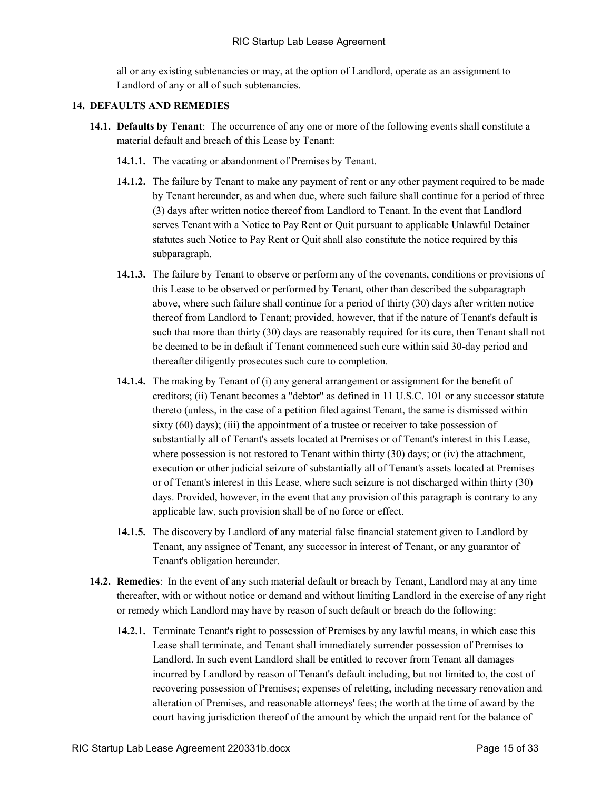all or any existing subtenancies or may, at the option of Landlord, operate as an assignment to Landlord of any or all of such subtenancies.

#### **14. DEFAULTS AND REMEDIES**

- **14.1. Defaults by Tenant**: The occurrence of any one or more of the following events shall constitute a material default and breach of this Lease by Tenant:
	- **14.1.1.** The vacating or abandonment of Premises by Tenant.
	- **14.1.2.** The failure by Tenant to make any payment of rent or any other payment required to be made by Tenant hereunder, as and when due, where such failure shall continue for a period of three (3) days after written notice thereof from Landlord to Tenant. In the event that Landlord serves Tenant with a Notice to Pay Rent or Quit pursuant to applicable Unlawful Detainer statutes such Notice to Pay Rent or Quit shall also constitute the notice required by this subparagraph.
	- **14.1.3.** The failure by Tenant to observe or perform any of the covenants, conditions or provisions of this Lease to be observed or performed by Tenant, other than described the subparagraph above, where such failure shall continue for a period of thirty (30) days after written notice thereof from Landlord to Tenant; provided, however, that if the nature of Tenant's default is such that more than thirty (30) days are reasonably required for its cure, then Tenant shall not be deemed to be in default if Tenant commenced such cure within said 30-day period and thereafter diligently prosecutes such cure to completion.
	- **14.1.4.** The making by Tenant of (i) any general arrangement or assignment for the benefit of creditors; (ii) Tenant becomes a "debtor" as defined in 11 U.S.C. 101 or any successor statute thereto (unless, in the case of a petition filed against Tenant, the same is dismissed within sixty (60) days); (iii) the appointment of a trustee or receiver to take possession of substantially all of Tenant's assets located at Premises or of Tenant's interest in this Lease, where possession is not restored to Tenant within thirty (30) days; or (iv) the attachment, execution or other judicial seizure of substantially all of Tenant's assets located at Premises or of Tenant's interest in this Lease, where such seizure is not discharged within thirty (30) days. Provided, however, in the event that any provision of this paragraph is contrary to any applicable law, such provision shall be of no force or effect.
	- **14.1.5.** The discovery by Landlord of any material false financial statement given to Landlord by Tenant, any assignee of Tenant, any successor in interest of Tenant, or any guarantor of Tenant's obligation hereunder.
- **14.2. Remedies**: In the event of any such material default or breach by Tenant, Landlord may at any time thereafter, with or without notice or demand and without limiting Landlord in the exercise of any right or remedy which Landlord may have by reason of such default or breach do the following:
	- **14.2.1.** Terminate Tenant's right to possession of Premises by any lawful means, in which case this Lease shall terminate, and Tenant shall immediately surrender possession of Premises to Landlord. In such event Landlord shall be entitled to recover from Tenant all damages incurred by Landlord by reason of Tenant's default including, but not limited to, the cost of recovering possession of Premises; expenses of reletting, including necessary renovation and alteration of Premises, and reasonable attorneys' fees; the worth at the time of award by the court having jurisdiction thereof of the amount by which the unpaid rent for the balance of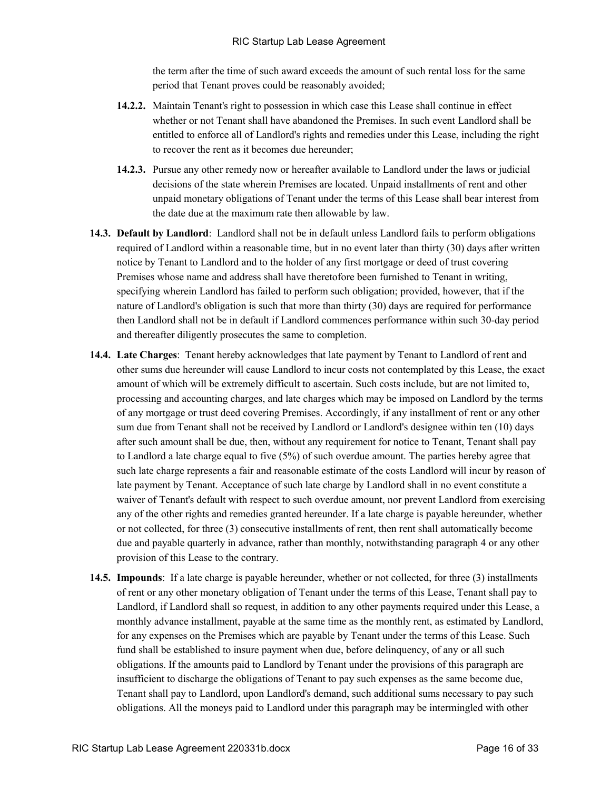the term after the time of such award exceeds the amount of such rental loss for the same period that Tenant proves could be reasonably avoided;

- **14.2.2.** Maintain Tenant's right to possession in which case this Lease shall continue in effect whether or not Tenant shall have abandoned the Premises. In such event Landlord shall be entitled to enforce all of Landlord's rights and remedies under this Lease, including the right to recover the rent as it becomes due hereunder;
- **14.2.3.** Pursue any other remedy now or hereafter available to Landlord under the laws or judicial decisions of the state wherein Premises are located. Unpaid installments of rent and other unpaid monetary obligations of Tenant under the terms of this Lease shall bear interest from the date due at the maximum rate then allowable by law.
- **14.3. Default by Landlord**: Landlord shall not be in default unless Landlord fails to perform obligations required of Landlord within a reasonable time, but in no event later than thirty (30) days after written notice by Tenant to Landlord and to the holder of any first mortgage or deed of trust covering Premises whose name and address shall have theretofore been furnished to Tenant in writing, specifying wherein Landlord has failed to perform such obligation; provided, however, that if the nature of Landlord's obligation is such that more than thirty (30) days are required for performance then Landlord shall not be in default if Landlord commences performance within such 30-day period and thereafter diligently prosecutes the same to completion.
- **14.4. Late Charges**: Tenant hereby acknowledges that late payment by Tenant to Landlord of rent and other sums due hereunder will cause Landlord to incur costs not contemplated by this Lease, the exact amount of which will be extremely difficult to ascertain. Such costs include, but are not limited to, processing and accounting charges, and late charges which may be imposed on Landlord by the terms of any mortgage or trust deed covering Premises. Accordingly, if any installment of rent or any other sum due from Tenant shall not be received by Landlord or Landlord's designee within ten (10) days after such amount shall be due, then, without any requirement for notice to Tenant, Tenant shall pay to Landlord a late charge equal to five (5%) of such overdue amount. The parties hereby agree that such late charge represents a fair and reasonable estimate of the costs Landlord will incur by reason of late payment by Tenant. Acceptance of such late charge by Landlord shall in no event constitute a waiver of Tenant's default with respect to such overdue amount, nor prevent Landlord from exercising any of the other rights and remedies granted hereunder. If a late charge is payable hereunder, whether or not collected, for three (3) consecutive installments of rent, then rent shall automatically become due and payable quarterly in advance, rather than monthly, notwithstanding paragraph 4 or any other provision of this Lease to the contrary.
- **14.5. Impounds**: If a late charge is payable hereunder, whether or not collected, for three (3) installments of rent or any other monetary obligation of Tenant under the terms of this Lease, Tenant shall pay to Landlord, if Landlord shall so request, in addition to any other payments required under this Lease, a monthly advance installment, payable at the same time as the monthly rent, as estimated by Landlord, for any expenses on the Premises which are payable by Tenant under the terms of this Lease. Such fund shall be established to insure payment when due, before delinquency, of any or all such obligations. If the amounts paid to Landlord by Tenant under the provisions of this paragraph are insufficient to discharge the obligations of Tenant to pay such expenses as the same become due, Tenant shall pay to Landlord, upon Landlord's demand, such additional sums necessary to pay such obligations. All the moneys paid to Landlord under this paragraph may be intermingled with other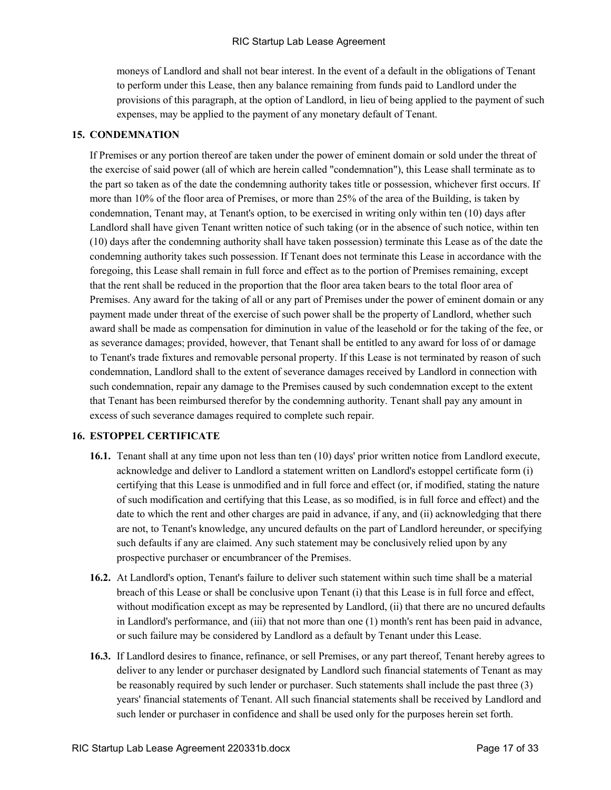moneys of Landlord and shall not bear interest. In the event of a default in the obligations of Tenant to perform under this Lease, then any balance remaining from funds paid to Landlord under the provisions of this paragraph, at the option of Landlord, in lieu of being applied to the payment of such expenses, may be applied to the payment of any monetary default of Tenant.

### **15. CONDEMNATION**

If Premises or any portion thereof are taken under the power of eminent domain or sold under the threat of the exercise of said power (all of which are herein called "condemnation"), this Lease shall terminate as to the part so taken as of the date the condemning authority takes title or possession, whichever first occurs. If more than 10% of the floor area of Premises, or more than 25% of the area of the Building, is taken by condemnation, Tenant may, at Tenant's option, to be exercised in writing only within ten (10) days after Landlord shall have given Tenant written notice of such taking (or in the absence of such notice, within ten (10) days after the condemning authority shall have taken possession) terminate this Lease as of the date the condemning authority takes such possession. If Tenant does not terminate this Lease in accordance with the foregoing, this Lease shall remain in full force and effect as to the portion of Premises remaining, except that the rent shall be reduced in the proportion that the floor area taken bears to the total floor area of Premises. Any award for the taking of all or any part of Premises under the power of eminent domain or any payment made under threat of the exercise of such power shall be the property of Landlord, whether such award shall be made as compensation for diminution in value of the leasehold or for the taking of the fee, or as severance damages; provided, however, that Tenant shall be entitled to any award for loss of or damage to Tenant's trade fixtures and removable personal property. If this Lease is not terminated by reason of such condemnation, Landlord shall to the extent of severance damages received by Landlord in connection with such condemnation, repair any damage to the Premises caused by such condemnation except to the extent that Tenant has been reimbursed therefor by the condemning authority. Tenant shall pay any amount in excess of such severance damages required to complete such repair.

# **16. ESTOPPEL CERTIFICATE**

- **16.1.** Tenant shall at any time upon not less than ten (10) days' prior written notice from Landlord execute, acknowledge and deliver to Landlord a statement written on Landlord's estoppel certificate form (i) certifying that this Lease is unmodified and in full force and effect (or, if modified, stating the nature of such modification and certifying that this Lease, as so modified, is in full force and effect) and the date to which the rent and other charges are paid in advance, if any, and (ii) acknowledging that there are not, to Tenant's knowledge, any uncured defaults on the part of Landlord hereunder, or specifying such defaults if any are claimed. Any such statement may be conclusively relied upon by any prospective purchaser or encumbrancer of the Premises.
- **16.2.** At Landlord's option, Tenant's failure to deliver such statement within such time shall be a material breach of this Lease or shall be conclusive upon Tenant (i) that this Lease is in full force and effect, without modification except as may be represented by Landlord, (ii) that there are no uncured defaults in Landlord's performance, and (iii) that not more than one (1) month's rent has been paid in advance, or such failure may be considered by Landlord as a default by Tenant under this Lease.
- **16.3.** If Landlord desires to finance, refinance, or sell Premises, or any part thereof, Tenant hereby agrees to deliver to any lender or purchaser designated by Landlord such financial statements of Tenant as may be reasonably required by such lender or purchaser. Such statements shall include the past three (3) years' financial statements of Tenant. All such financial statements shall be received by Landlord and such lender or purchaser in confidence and shall be used only for the purposes herein set forth.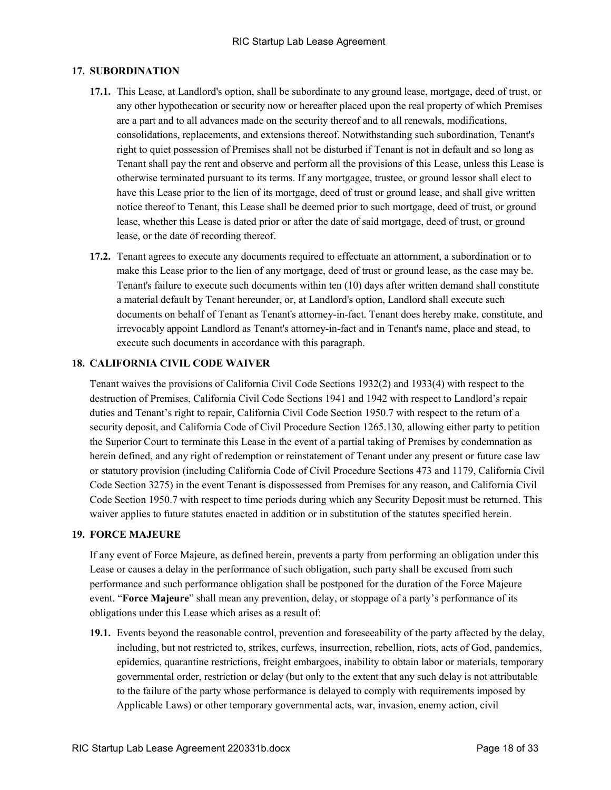# **17. SUBORDINATION**

- **17.1.** This Lease, at Landlord's option, shall be subordinate to any ground lease, mortgage, deed of trust, or any other hypothecation or security now or hereafter placed upon the real property of which Premises are a part and to all advances made on the security thereof and to all renewals, modifications, consolidations, replacements, and extensions thereof. Notwithstanding such subordination, Tenant's right to quiet possession of Premises shall not be disturbed if Tenant is not in default and so long as Tenant shall pay the rent and observe and perform all the provisions of this Lease, unless this Lease is otherwise terminated pursuant to its terms. If any mortgagee, trustee, or ground lessor shall elect to have this Lease prior to the lien of its mortgage, deed of trust or ground lease, and shall give written notice thereof to Tenant, this Lease shall be deemed prior to such mortgage, deed of trust, or ground lease, whether this Lease is dated prior or after the date of said mortgage, deed of trust, or ground lease, or the date of recording thereof.
- **17.2.** Tenant agrees to execute any documents required to effectuate an attornment, a subordination or to make this Lease prior to the lien of any mortgage, deed of trust or ground lease, as the case may be. Tenant's failure to execute such documents within ten (10) days after written demand shall constitute a material default by Tenant hereunder, or, at Landlord's option, Landlord shall execute such documents on behalf of Tenant as Tenant's attorney-in-fact. Tenant does hereby make, constitute, and irrevocably appoint Landlord as Tenant's attorney-in-fact and in Tenant's name, place and stead, to execute such documents in accordance with this paragraph.

#### **18. CALIFORNIA CIVIL CODE WAIVER**

Tenant waives the provisions of California Civil Code Sections 1932(2) and 1933(4) with respect to the destruction of Premises, California Civil Code Sections 1941 and 1942 with respect to Landlord's repair duties and Tenant's right to repair, California Civil Code Section 1950.7 with respect to the return of a security deposit, and California Code of Civil Procedure Section 1265.130, allowing either party to petition the Superior Court to terminate this Lease in the event of a partial taking of Premises by condemnation as herein defined, and any right of redemption or reinstatement of Tenant under any present or future case law or statutory provision (including California Code of Civil Procedure Sections 473 and 1179, California Civil Code Section 3275) in the event Tenant is dispossessed from Premises for any reason, and California Civil Code Section 1950.7 with respect to time periods during which any Security Deposit must be returned. This waiver applies to future statutes enacted in addition or in substitution of the statutes specified herein.

#### **19. FORCE MAJEURE**

If any event of Force Majeure, as defined herein, prevents a party from performing an obligation under this Lease or causes a delay in the performance of such obligation, such party shall be excused from such performance and such performance obligation shall be postponed for the duration of the Force Majeure event. "**Force Majeure**" shall mean any prevention, delay, or stoppage of a party's performance of its obligations under this Lease which arises as a result of:

**19.1.** Events beyond the reasonable control, prevention and foreseeability of the party affected by the delay, including, but not restricted to, strikes, curfews, insurrection, rebellion, riots, acts of God, pandemics, epidemics, quarantine restrictions, freight embargoes, inability to obtain labor or materials, temporary governmental order, restriction or delay (but only to the extent that any such delay is not attributable to the failure of the party whose performance is delayed to comply with requirements imposed by Applicable Laws) or other temporary governmental acts, war, invasion, enemy action, civil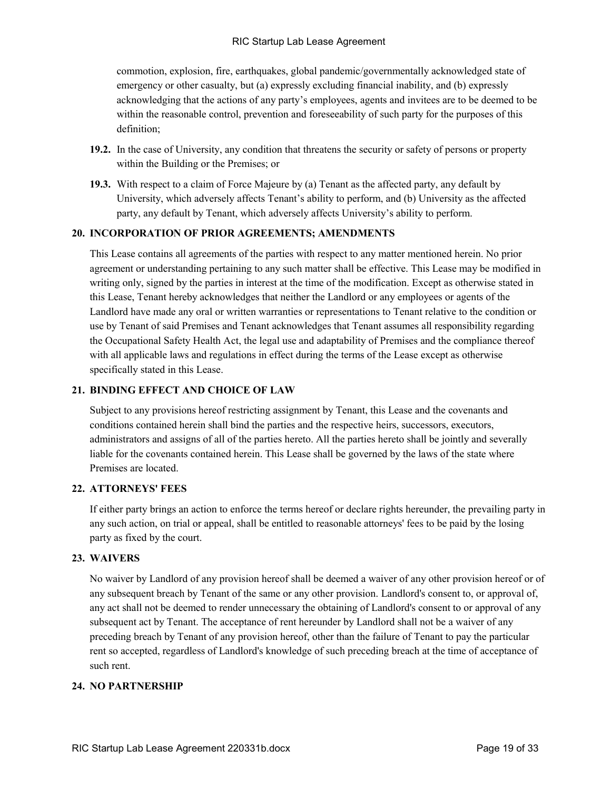commotion, explosion, fire, earthquakes, global pandemic/governmentally acknowledged state of emergency or other casualty, but (a) expressly excluding financial inability, and (b) expressly acknowledging that the actions of any party's employees, agents and invitees are to be deemed to be within the reasonable control, prevention and foreseeability of such party for the purposes of this definition;

- **19.2.** In the case of University, any condition that threatens the security or safety of persons or property within the Building or the Premises; or
- **19.3.** With respect to a claim of Force Majeure by (a) Tenant as the affected party, any default by University, which adversely affects Tenant's ability to perform, and (b) University as the affected party, any default by Tenant, which adversely affects University's ability to perform.

### **20. INCORPORATION OF PRIOR AGREEMENTS; AMENDMENTS**

This Lease contains all agreements of the parties with respect to any matter mentioned herein. No prior agreement or understanding pertaining to any such matter shall be effective. This Lease may be modified in writing only, signed by the parties in interest at the time of the modification. Except as otherwise stated in this Lease, Tenant hereby acknowledges that neither the Landlord or any employees or agents of the Landlord have made any oral or written warranties or representations to Tenant relative to the condition or use by Tenant of said Premises and Tenant acknowledges that Tenant assumes all responsibility regarding the Occupational Safety Health Act, the legal use and adaptability of Premises and the compliance thereof with all applicable laws and regulations in effect during the terms of the Lease except as otherwise specifically stated in this Lease.

# **21. BINDING EFFECT AND CHOICE OF LAW**

Subject to any provisions hereof restricting assignment by Tenant, this Lease and the covenants and conditions contained herein shall bind the parties and the respective heirs, successors, executors, administrators and assigns of all of the parties hereto. All the parties hereto shall be jointly and severally liable for the covenants contained herein. This Lease shall be governed by the laws of the state where Premises are located.

#### **22. ATTORNEYS' FEES**

If either party brings an action to enforce the terms hereof or declare rights hereunder, the prevailing party in any such action, on trial or appeal, shall be entitled to reasonable attorneys' fees to be paid by the losing party as fixed by the court.

#### **23. WAIVERS**

No waiver by Landlord of any provision hereof shall be deemed a waiver of any other provision hereof or of any subsequent breach by Tenant of the same or any other provision. Landlord's consent to, or approval of, any act shall not be deemed to render unnecessary the obtaining of Landlord's consent to or approval of any subsequent act by Tenant. The acceptance of rent hereunder by Landlord shall not be a waiver of any preceding breach by Tenant of any provision hereof, other than the failure of Tenant to pay the particular rent so accepted, regardless of Landlord's knowledge of such preceding breach at the time of acceptance of such rent.

# **24. NO PARTNERSHIP**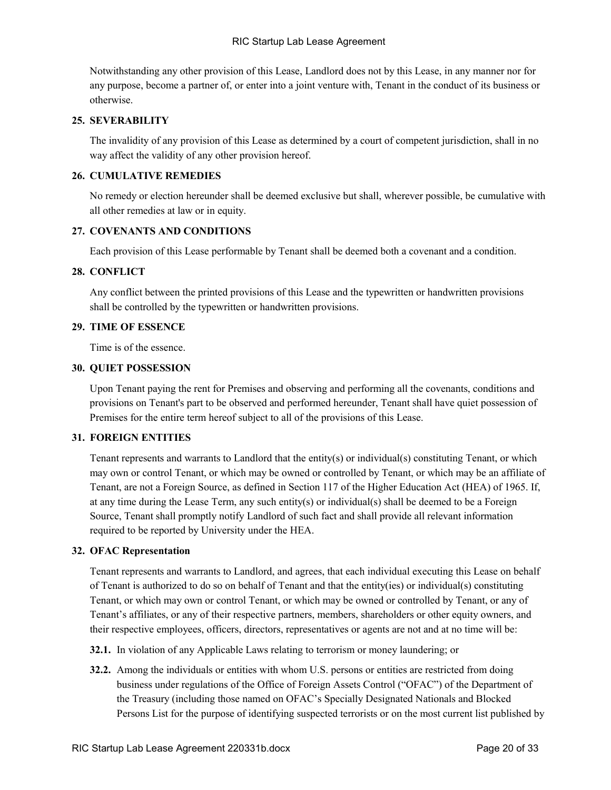Notwithstanding any other provision of this Lease, Landlord does not by this Lease, in any manner nor for any purpose, become a partner of, or enter into a joint venture with, Tenant in the conduct of its business or otherwise.

# **25. SEVERABILITY**

The invalidity of any provision of this Lease as determined by a court of competent jurisdiction, shall in no way affect the validity of any other provision hereof.

# **26. CUMULATIVE REMEDIES**

No remedy or election hereunder shall be deemed exclusive but shall, wherever possible, be cumulative with all other remedies at law or in equity.

#### **27. COVENANTS AND CONDITIONS**

Each provision of this Lease performable by Tenant shall be deemed both a covenant and a condition.

#### **28. CONFLICT**

Any conflict between the printed provisions of this Lease and the typewritten or handwritten provisions shall be controlled by the typewritten or handwritten provisions.

#### **29. TIME OF ESSENCE**

Time is of the essence.

#### **30. QUIET POSSESSION**

Upon Tenant paying the rent for Premises and observing and performing all the covenants, conditions and provisions on Tenant's part to be observed and performed hereunder, Tenant shall have quiet possession of Premises for the entire term hereof subject to all of the provisions of this Lease.

#### **31. FOREIGN ENTITIES**

Tenant represents and warrants to Landlord that the entity(s) or individual(s) constituting Tenant, or which may own or control Tenant, or which may be owned or controlled by Tenant, or which may be an affiliate of Tenant, are not a Foreign Source, as defined in Section 117 of the Higher Education Act (HEA) of 1965. If, at any time during the Lease Term, any such entity(s) or individual(s) shall be deemed to be a Foreign Source, Tenant shall promptly notify Landlord of such fact and shall provide all relevant information required to be reported by University under the HEA.

#### **32. OFAC Representation**

Tenant represents and warrants to Landlord, and agrees, that each individual executing this Lease on behalf of Tenant is authorized to do so on behalf of Tenant and that the entity(ies) or individual(s) constituting Tenant, or which may own or control Tenant, or which may be owned or controlled by Tenant, or any of Tenant's affiliates, or any of their respective partners, members, shareholders or other equity owners, and their respective employees, officers, directors, representatives or agents are not and at no time will be:

- **32.1.** In violation of any Applicable Laws relating to terrorism or money laundering; or
- **32.2.** Among the individuals or entities with whom U.S. persons or entities are restricted from doing business under regulations of the Office of Foreign Assets Control ("OFAC") of the Department of the Treasury (including those named on OFAC's Specially Designated Nationals and Blocked Persons List for the purpose of identifying suspected terrorists or on the most current list published by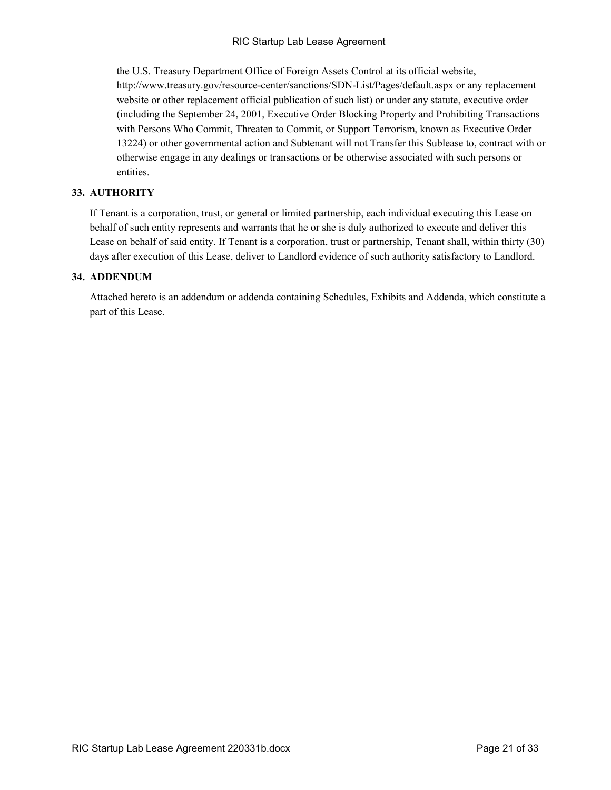the U.S. Treasury Department Office of Foreign Assets Control at its official website, http://www.treasury.gov/resource-center/sanctions/SDN-List/Pages/default.aspx or any replacement website or other replacement official publication of such list) or under any statute, executive order (including the September 24, 2001, Executive Order Blocking Property and Prohibiting Transactions with Persons Who Commit, Threaten to Commit, or Support Terrorism, known as Executive Order 13224) or other governmental action and Subtenant will not Transfer this Sublease to, contract with or otherwise engage in any dealings or transactions or be otherwise associated with such persons or entities.

# **33. AUTHORITY**

If Tenant is a corporation, trust, or general or limited partnership, each individual executing this Lease on behalf of such entity represents and warrants that he or she is duly authorized to execute and deliver this Lease on behalf of said entity. If Tenant is a corporation, trust or partnership, Tenant shall, within thirty (30) days after execution of this Lease, deliver to Landlord evidence of such authority satisfactory to Landlord.

# **34. ADDENDUM**

Attached hereto is an addendum or addenda containing Schedules, Exhibits and Addenda, which constitute a part of this Lease.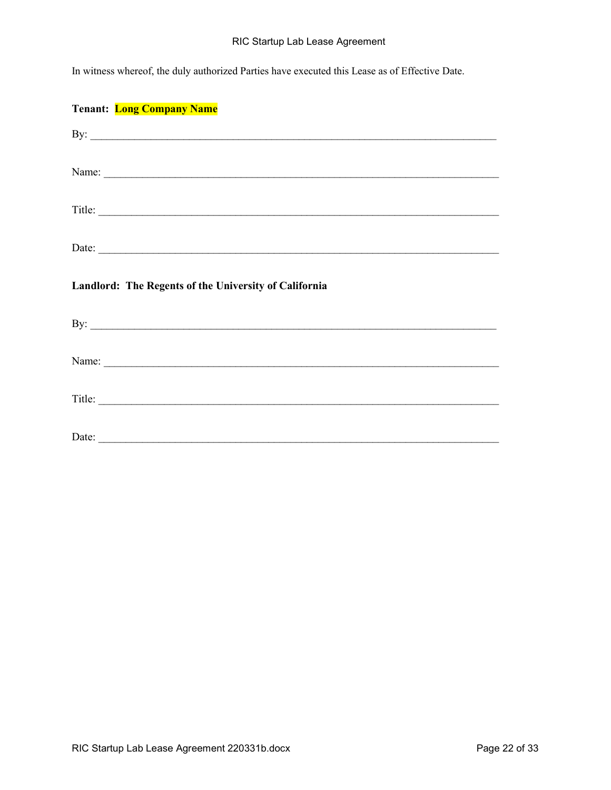In witness whereof, the duly authorized Parties have executed this Lease as of Effective Date.

| <b>Tenant:</b> Long Company Name                      |
|-------------------------------------------------------|
| By: $\overline{\phantom{a}}$                          |
| Name:                                                 |
| Title:                                                |
| Date:                                                 |
|                                                       |
| Landlord: The Regents of the University of California |
|                                                       |
|                                                       |
| Title:                                                |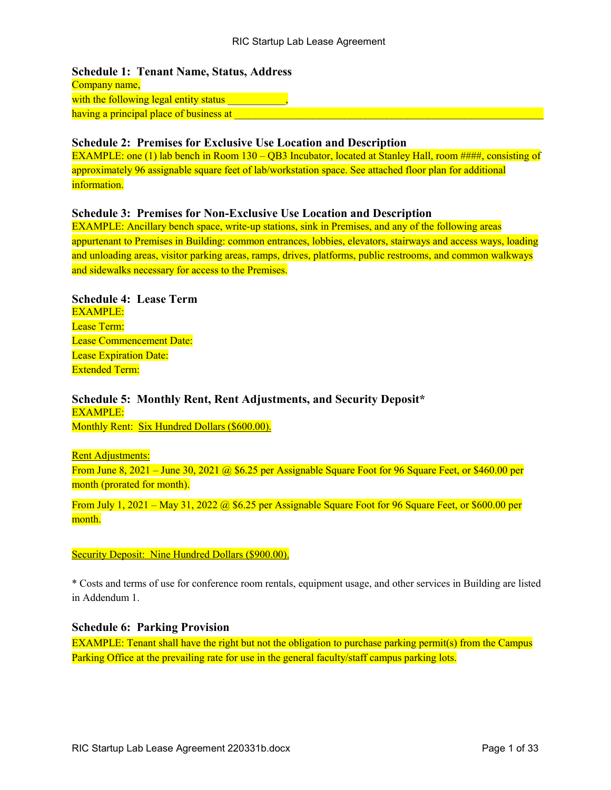**Schedule 1: Tenant Name, Status, Address**  Company name, with the following legal entity status having a principal place of business at **all the state of the state of the state** of the state of the state of the

# **Schedule 2: Premises for Exclusive Use Location and Description**

EXAMPLE: one (1) lab bench in Room 130 – QB3 Incubator, located at Stanley Hall, room ####, consisting of approximately 96 assignable square feet of lab/workstation space. See attached floor plan for additional information.

# **Schedule 3: Premises for Non-Exclusive Use Location and Description**

EXAMPLE: Ancillary bench space, write-up stations, sink in Premises, and any of the following areas appurtenant to Premises in Building: common entrances, lobbies, elevators, stairways and access ways, loading and unloading areas, visitor parking areas, ramps, drives, platforms, public restrooms, and common walkways and sidewalks necessary for access to the Premises.

# **Schedule 4: Lease Term** EXAMPLE: Lease Term: Lease Commencement Date: Lease Expiration Date:

Extended Term:

# **Schedule 5: Monthly Rent, Rent Adjustments, and Security Deposit\***  EXAMPLE:

Monthly Rent: Six Hundred Dollars (\$600.00).

# **Rent Adjustments:**

From June 8, 2021 – June 30, 2021 @ \$6.25 per Assignable Square Foot for 96 Square Feet, or \$460.00 per month (prorated for month).

From July 1, 2021 – May 31, 2022 @ \$6.25 per Assignable Square Foot for 96 Square Feet, or \$600.00 per month.

# Security Deposit: Nine Hundred Dollars (\$900.00).

\* Costs and terms of use for conference room rentals, equipment usage, and other services in Building are listed in Addendum 1.

# **Schedule 6: Parking Provision**

EXAMPLE: Tenant shall have the right but not the obligation to purchase parking permit(s) from the Campus Parking Office at the prevailing rate for use in the general faculty/staff campus parking lots.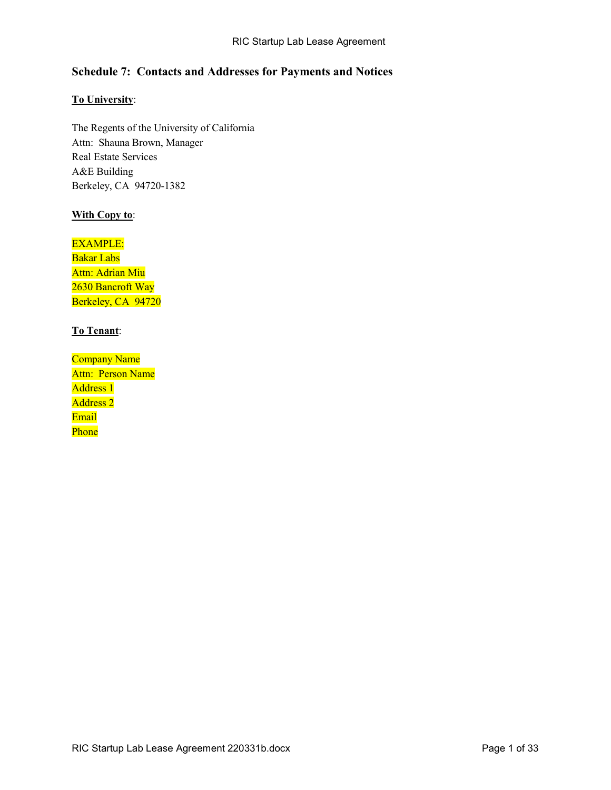# **Schedule 7: Contacts and Addresses for Payments and Notices**

# **To University**:

The Regents of the University of California Attn: Shauna Brown, Manager Real Estate Services A&E Building Berkeley, CA 94720-1382

# **With Copy to**:

# EXAMPLE:

Bakar Labs Attn: Adrian Miu 2630 Bancroft Way Berkeley, CA 94720

# **To Tenant**:

Company Name Attn: Person Name Address 1 Address 2 Email Phone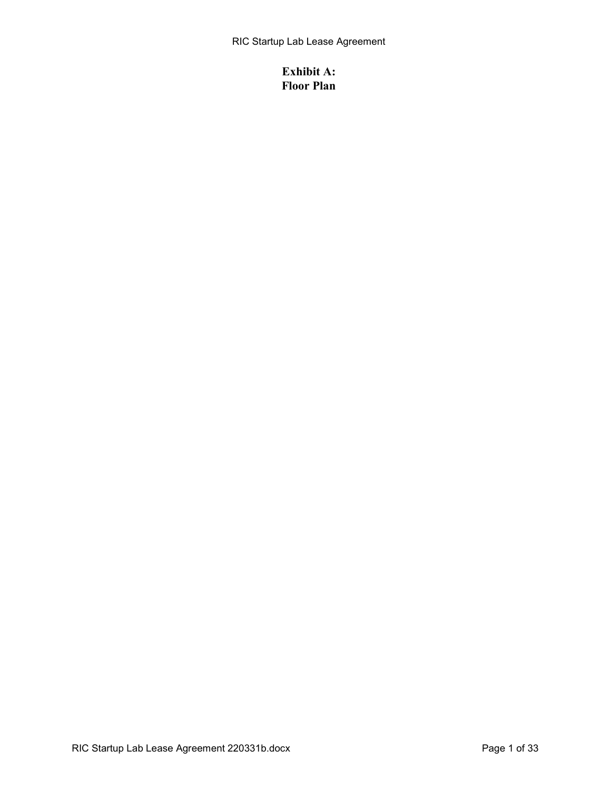# **Exhibit A: Floor Plan**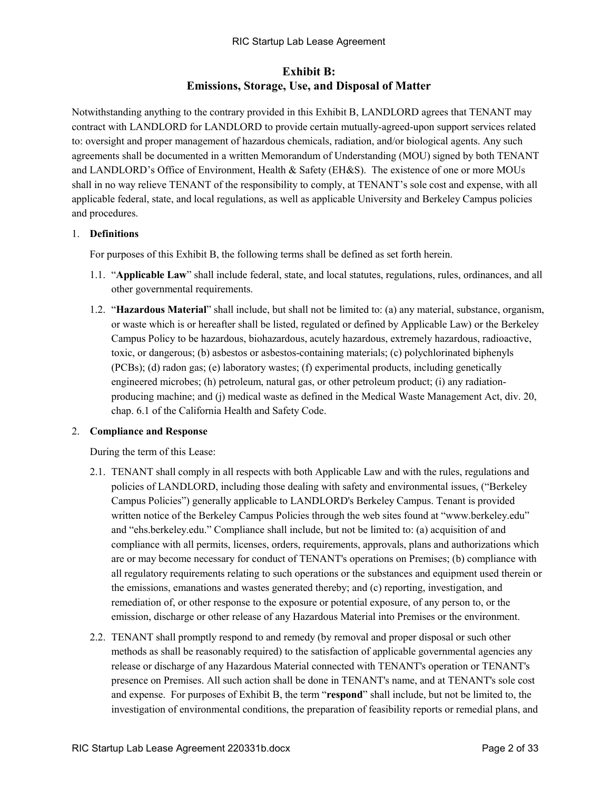# **Exhibit B: Emissions, Storage, Use, and Disposal of Matter**

Notwithstanding anything to the contrary provided in this Exhibit B, LANDLORD agrees that TENANT may contract with LANDLORD for LANDLORD to provide certain mutually-agreed-upon support services related to: oversight and proper management of hazardous chemicals, radiation, and/or biological agents. Any such agreements shall be documented in a written Memorandum of Understanding (MOU) signed by both TENANT and LANDLORD's Office of Environment, Health & Safety (EH&S). The existence of one or more MOUs shall in no way relieve TENANT of the responsibility to comply, at TENANT's sole cost and expense, with all applicable federal, state, and local regulations, as well as applicable University and Berkeley Campus policies and procedures.

# 1. **Definitions**

For purposes of this Exhibit B, the following terms shall be defined as set forth herein.

- 1.1. "**Applicable Law**" shall include federal, state, and local statutes, regulations, rules, ordinances, and all other governmental requirements.
- 1.2. "**Hazardous Material**" shall include, but shall not be limited to: (a) any material, substance, organism, or waste which is or hereafter shall be listed, regulated or defined by Applicable Law) or the Berkeley Campus Policy to be hazardous, biohazardous, acutely hazardous, extremely hazardous, radioactive, toxic, or dangerous; (b) asbestos or asbestos-containing materials; (c) polychlorinated biphenyls (PCBs); (d) radon gas; (e) laboratory wastes; (f) experimental products, including genetically engineered microbes; (h) petroleum, natural gas, or other petroleum product; (i) any radiationproducing machine; and (j) medical waste as defined in the Medical Waste Management Act, div. 20, chap. 6.1 of the California Health and Safety Code.

# 2. **Compliance and Response**

During the term of this Lease:

- 2.1. TENANT shall comply in all respects with both Applicable Law and with the rules, regulations and policies of LANDLORD, including those dealing with safety and environmental issues, ("Berkeley Campus Policies") generally applicable to LANDLORD's Berkeley Campus. Tenant is provided written notice of the Berkeley Campus Policies through the web sites found at "www.berkeley.edu" and "ehs.berkeley.edu." Compliance shall include, but not be limited to: (a) acquisition of and compliance with all permits, licenses, orders, requirements, approvals, plans and authorizations which are or may become necessary for conduct of TENANT's operations on Premises; (b) compliance with all regulatory requirements relating to such operations or the substances and equipment used therein or the emissions, emanations and wastes generated thereby; and (c) reporting, investigation, and remediation of, or other response to the exposure or potential exposure, of any person to, or the emission, discharge or other release of any Hazardous Material into Premises or the environment.
- 2.2. TENANT shall promptly respond to and remedy (by removal and proper disposal or such other methods as shall be reasonably required) to the satisfaction of applicable governmental agencies any release or discharge of any Hazardous Material connected with TENANT's operation or TENANT's presence on Premises. All such action shall be done in TENANT's name, and at TENANT's sole cost and expense. For purposes of Exhibit B, the term "**respond**" shall include, but not be limited to, the investigation of environmental conditions, the preparation of feasibility reports or remedial plans, and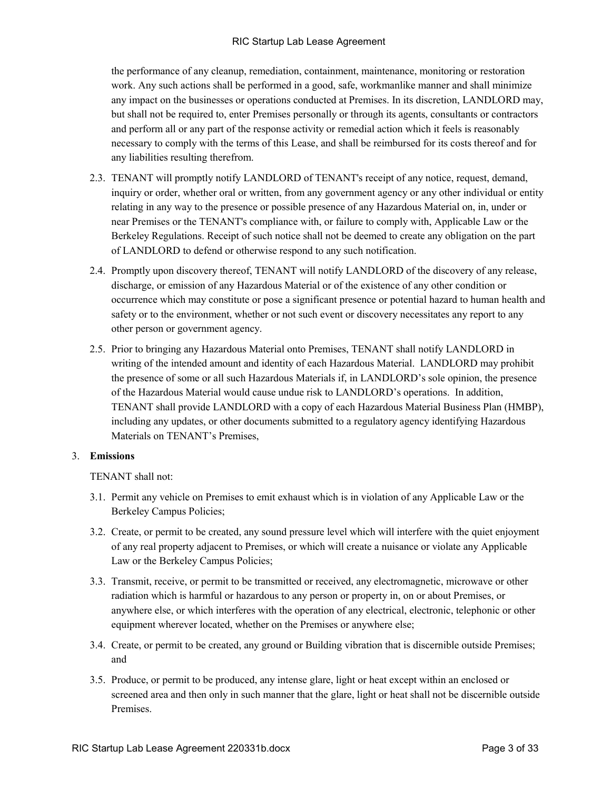the performance of any cleanup, remediation, containment, maintenance, monitoring or restoration work. Any such actions shall be performed in a good, safe, workmanlike manner and shall minimize any impact on the businesses or operations conducted at Premises. In its discretion, LANDLORD may, but shall not be required to, enter Premises personally or through its agents, consultants or contractors and perform all or any part of the response activity or remedial action which it feels is reasonably necessary to comply with the terms of this Lease, and shall be reimbursed for its costs thereof and for any liabilities resulting therefrom.

- 2.3. TENANT will promptly notify LANDLORD of TENANT's receipt of any notice, request, demand, inquiry or order, whether oral or written, from any government agency or any other individual or entity relating in any way to the presence or possible presence of any Hazardous Material on, in, under or near Premises or the TENANT's compliance with, or failure to comply with, Applicable Law or the Berkeley Regulations. Receipt of such notice shall not be deemed to create any obligation on the part of LANDLORD to defend or otherwise respond to any such notification.
- 2.4. Promptly upon discovery thereof, TENANT will notify LANDLORD of the discovery of any release, discharge, or emission of any Hazardous Material or of the existence of any other condition or occurrence which may constitute or pose a significant presence or potential hazard to human health and safety or to the environment, whether or not such event or discovery necessitates any report to any other person or government agency.
- 2.5. Prior to bringing any Hazardous Material onto Premises, TENANT shall notify LANDLORD in writing of the intended amount and identity of each Hazardous Material. LANDLORD may prohibit the presence of some or all such Hazardous Materials if, in LANDLORD's sole opinion, the presence of the Hazardous Material would cause undue risk to LANDLORD's operations. In addition, TENANT shall provide LANDLORD with a copy of each Hazardous Material Business Plan (HMBP), including any updates, or other documents submitted to a regulatory agency identifying Hazardous Materials on TENANT's Premises,

# 3. **Emissions**

TENANT shall not:

- 3.1. Permit any vehicle on Premises to emit exhaust which is in violation of any Applicable Law or the Berkeley Campus Policies;
- 3.2. Create, or permit to be created, any sound pressure level which will interfere with the quiet enjoyment of any real property adjacent to Premises, or which will create a nuisance or violate any Applicable Law or the Berkeley Campus Policies;
- 3.3. Transmit, receive, or permit to be transmitted or received, any electromagnetic, microwave or other radiation which is harmful or hazardous to any person or property in, on or about Premises, or anywhere else, or which interferes with the operation of any electrical, electronic, telephonic or other equipment wherever located, whether on the Premises or anywhere else;
- 3.4. Create, or permit to be created, any ground or Building vibration that is discernible outside Premises; and
- 3.5. Produce, or permit to be produced, any intense glare, light or heat except within an enclosed or screened area and then only in such manner that the glare, light or heat shall not be discernible outside Premises.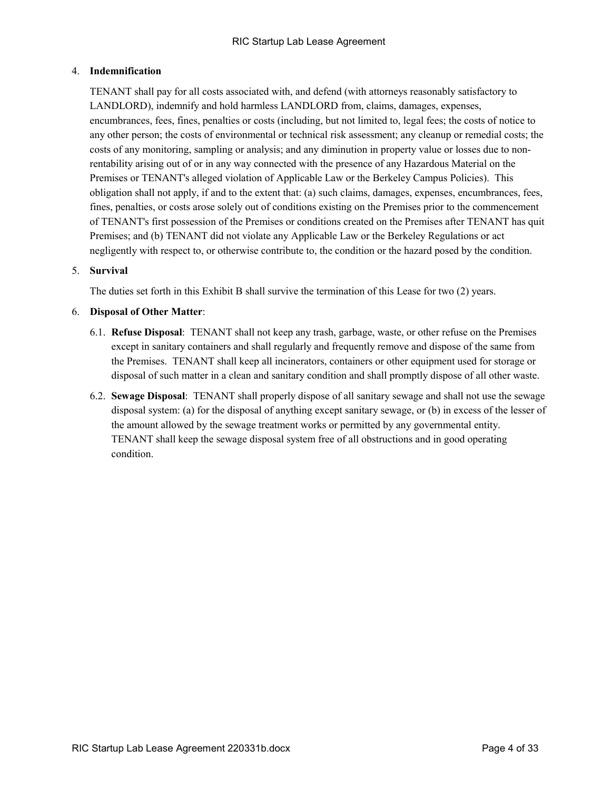# 4. **Indemnification**

TENANT shall pay for all costs associated with, and defend (with attorneys reasonably satisfactory to LANDLORD), indemnify and hold harmless LANDLORD from, claims, damages, expenses, encumbrances, fees, fines, penalties or costs (including, but not limited to, legal fees; the costs of notice to any other person; the costs of environmental or technical risk assessment; any cleanup or remedial costs; the costs of any monitoring, sampling or analysis; and any diminution in property value or losses due to nonrentability arising out of or in any way connected with the presence of any Hazardous Material on the Premises or TENANT's alleged violation of Applicable Law or the Berkeley Campus Policies). This obligation shall not apply, if and to the extent that: (a) such claims, damages, expenses, encumbrances, fees, fines, penalties, or costs arose solely out of conditions existing on the Premises prior to the commencement of TENANT's first possession of the Premises or conditions created on the Premises after TENANT has quit Premises; and (b) TENANT did not violate any Applicable Law or the Berkeley Regulations or act negligently with respect to, or otherwise contribute to, the condition or the hazard posed by the condition.

# 5. **Survival**

The duties set forth in this Exhibit B shall survive the termination of this Lease for two (2) years.

#### 6. **Disposal of Other Matter**:

- 6.1. **Refuse Disposal**: TENANT shall not keep any trash, garbage, waste, or other refuse on the Premises except in sanitary containers and shall regularly and frequently remove and dispose of the same from the Premises. TENANT shall keep all incinerators, containers or other equipment used for storage or disposal of such matter in a clean and sanitary condition and shall promptly dispose of all other waste.
- 6.2. **Sewage Disposal**: TENANT shall properly dispose of all sanitary sewage and shall not use the sewage disposal system: (a) for the disposal of anything except sanitary sewage, or (b) in excess of the lesser of the amount allowed by the sewage treatment works or permitted by any governmental entity. TENANT shall keep the sewage disposal system free of all obstructions and in good operating condition.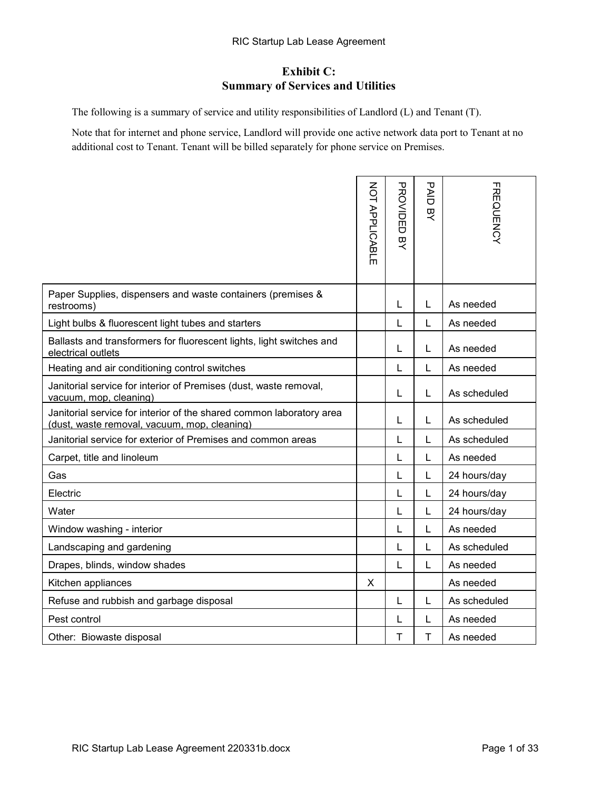# **Exhibit C: Summary of Services and Utilities**

The following is a summary of service and utility responsibilities of Landlord (L) and Tenant (T).

Note that for internet and phone service, Landlord will provide one active network data port to Tenant at no additional cost to Tenant. Tenant will be billed separately for phone service on Premises.

|                                                                                                                      | NOT APPLICABLE | <b>PROVIDED</b><br>贝<br>人 | <b>PAID</b><br>只 | <b>FREQUENCY</b> |
|----------------------------------------------------------------------------------------------------------------------|----------------|---------------------------|------------------|------------------|
| Paper Supplies, dispensers and waste containers (premises &<br>restrooms)                                            |                | L                         | L                | As needed        |
| Light bulbs & fluorescent light tubes and starters                                                                   |                | L                         | L                | As needed        |
| Ballasts and transformers for fluorescent lights, light switches and<br>electrical outlets                           |                | L                         | L                | As needed        |
| Heating and air conditioning control switches                                                                        |                | L                         | L                | As needed        |
| Janitorial service for interior of Premises (dust, waste removal,<br>vacuum, mop, cleaning)                          |                | L                         | L                | As scheduled     |
| Janitorial service for interior of the shared common laboratory area<br>(dust, waste removal, vacuum, mop, cleaning) |                | L                         | L                | As scheduled     |
| Janitorial service for exterior of Premises and common areas                                                         |                | L                         | L                | As scheduled     |
| Carpet, title and linoleum                                                                                           |                | L                         | L                | As needed        |
| Gas                                                                                                                  |                | L                         | L                | 24 hours/day     |
| Electric                                                                                                             |                | L                         | L                | 24 hours/day     |
| Water                                                                                                                |                | L                         | L                | 24 hours/day     |
| Window washing - interior                                                                                            |                | L                         | L                | As needed        |
| Landscaping and gardening                                                                                            |                | L                         | L                | As scheduled     |
| Drapes, blinds, window shades                                                                                        |                | L                         | L                | As needed        |
| Kitchen appliances                                                                                                   | X              |                           |                  | As needed        |
| Refuse and rubbish and garbage disposal                                                                              |                | L                         | L                | As scheduled     |
| Pest control                                                                                                         |                | L                         | L                | As needed        |
| Other: Biowaste disposal                                                                                             |                | T                         | T                | As needed        |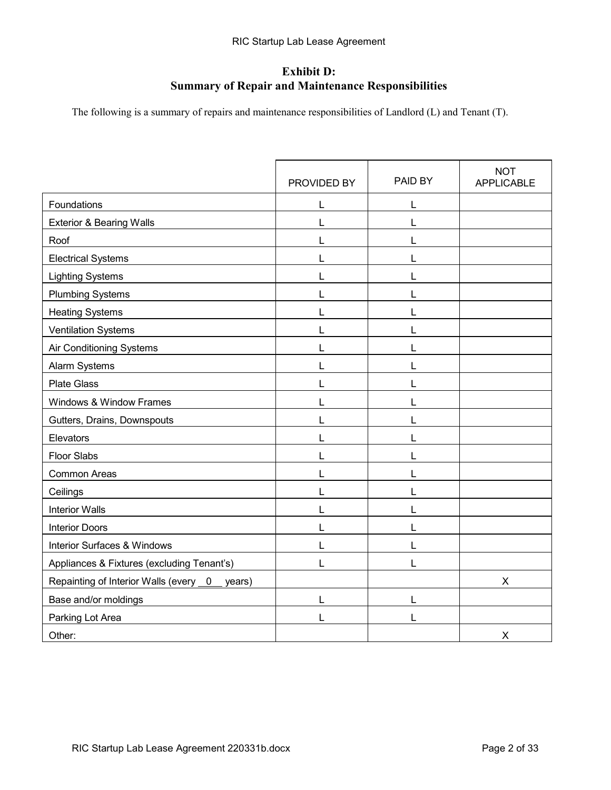# **Exhibit D: Summary of Repair and Maintenance Responsibilities**

The following is a summary of repairs and maintenance responsibilities of Landlord (L) and Tenant (T).

|                                              | PROVIDED BY | PAID BY | <b>NOT</b><br><b>APPLICABLE</b> |
|----------------------------------------------|-------------|---------|---------------------------------|
| Foundations                                  | L           | L       |                                 |
| <b>Exterior &amp; Bearing Walls</b>          | L           | L       |                                 |
| Roof                                         | L           | L       |                                 |
| <b>Electrical Systems</b>                    |             | L       |                                 |
| <b>Lighting Systems</b>                      | L           | L       |                                 |
| <b>Plumbing Systems</b>                      | L           | L       |                                 |
| <b>Heating Systems</b>                       | L           | L       |                                 |
| <b>Ventilation Systems</b>                   |             | L       |                                 |
| Air Conditioning Systems                     |             | L       |                                 |
| Alarm Systems                                |             | L       |                                 |
| <b>Plate Glass</b>                           | L           | L       |                                 |
| Windows & Window Frames                      |             | L       |                                 |
| Gutters, Drains, Downspouts                  | L           | L       |                                 |
| Elevators                                    |             | L       |                                 |
| <b>Floor Slabs</b>                           | L           | L       |                                 |
| <b>Common Areas</b>                          |             | L       |                                 |
| Ceilings                                     |             | L       |                                 |
| <b>Interior Walls</b>                        |             | L       |                                 |
| <b>Interior Doors</b>                        | L           | L       |                                 |
| <b>Interior Surfaces &amp; Windows</b>       |             | L       |                                 |
| Appliances & Fixtures (excluding Tenant's)   | L           | L       |                                 |
| Repainting of Interior Walls (every 0 years) |             |         | X                               |
| Base and/or moldings                         | L           | L       |                                 |
| Parking Lot Area                             |             | L       |                                 |
| Other:                                       |             |         | X                               |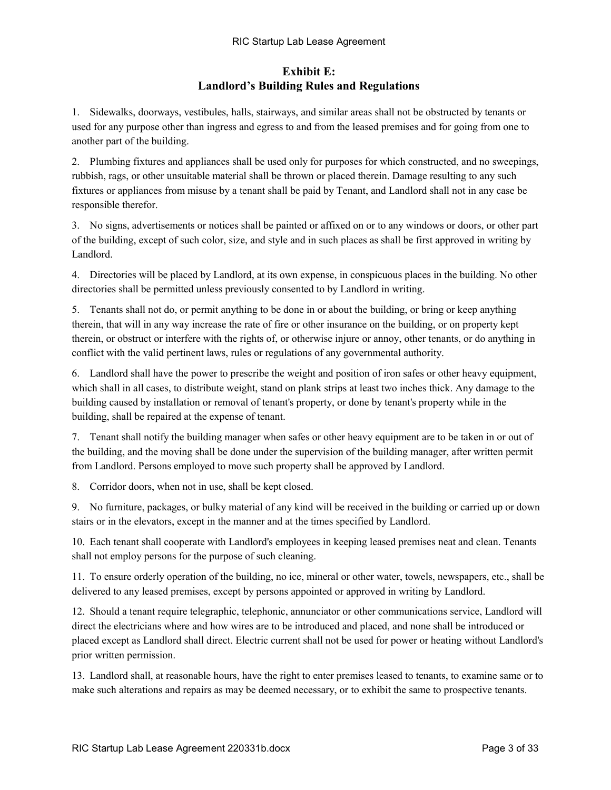# **Exhibit E: Landlord's Building Rules and Regulations**

1. Sidewalks, doorways, vestibules, halls, stairways, and similar areas shall not be obstructed by tenants or used for any purpose other than ingress and egress to and from the leased premises and for going from one to another part of the building.

2. Plumbing fixtures and appliances shall be used only for purposes for which constructed, and no sweepings, rubbish, rags, or other unsuitable material shall be thrown or placed therein. Damage resulting to any such fixtures or appliances from misuse by a tenant shall be paid by Tenant, and Landlord shall not in any case be responsible therefor.

3. No signs, advertisements or notices shall be painted or affixed on or to any windows or doors, or other part of the building, except of such color, size, and style and in such places as shall be first approved in writing by Landlord.

4. Directories will be placed by Landlord, at its own expense, in conspicuous places in the building. No other directories shall be permitted unless previously consented to by Landlord in writing.

5. Tenants shall not do, or permit anything to be done in or about the building, or bring or keep anything therein, that will in any way increase the rate of fire or other insurance on the building, or on property kept therein, or obstruct or interfere with the rights of, or otherwise injure or annoy, other tenants, or do anything in conflict with the valid pertinent laws, rules or regulations of any governmental authority.

6. Landlord shall have the power to prescribe the weight and position of iron safes or other heavy equipment, which shall in all cases, to distribute weight, stand on plank strips at least two inches thick. Any damage to the building caused by installation or removal of tenant's property, or done by tenant's property while in the building, shall be repaired at the expense of tenant.

7. Tenant shall notify the building manager when safes or other heavy equipment are to be taken in or out of the building, and the moving shall be done under the supervision of the building manager, after written permit from Landlord. Persons employed to move such property shall be approved by Landlord.

8. Corridor doors, when not in use, shall be kept closed.

9. No furniture, packages, or bulky material of any kind will be received in the building or carried up or down stairs or in the elevators, except in the manner and at the times specified by Landlord.

10. Each tenant shall cooperate with Landlord's employees in keeping leased premises neat and clean. Tenants shall not employ persons for the purpose of such cleaning.

11. To ensure orderly operation of the building, no ice, mineral or other water, towels, newspapers, etc., shall be delivered to any leased premises, except by persons appointed or approved in writing by Landlord.

12. Should a tenant require telegraphic, telephonic, annunciator or other communications service, Landlord will direct the electricians where and how wires are to be introduced and placed, and none shall be introduced or placed except as Landlord shall direct. Electric current shall not be used for power or heating without Landlord's prior written permission.

13. Landlord shall, at reasonable hours, have the right to enter premises leased to tenants, to examine same or to make such alterations and repairs as may be deemed necessary, or to exhibit the same to prospective tenants.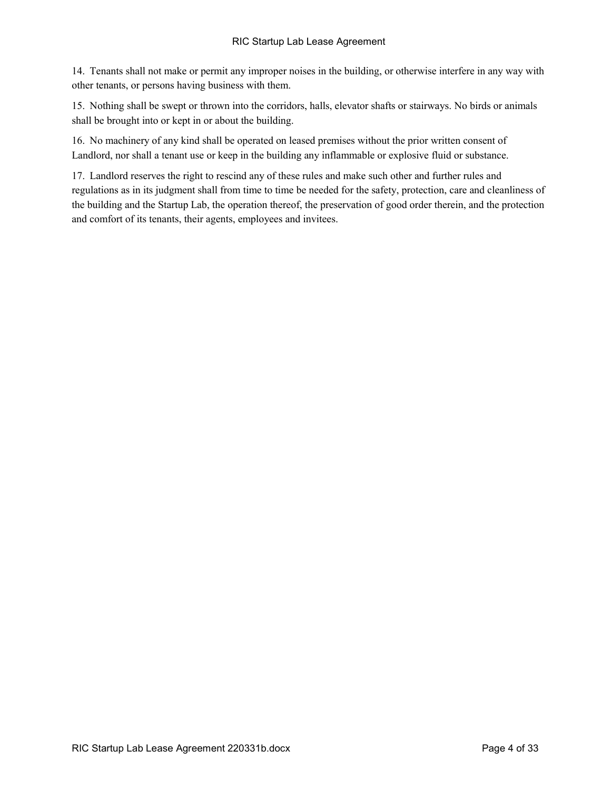14. Tenants shall not make or permit any improper noises in the building, or otherwise interfere in any way with other tenants, or persons having business with them.

15. Nothing shall be swept or thrown into the corridors, halls, elevator shafts or stairways. No birds or animals shall be brought into or kept in or about the building.

16. No machinery of any kind shall be operated on leased premises without the prior written consent of Landlord, nor shall a tenant use or keep in the building any inflammable or explosive fluid or substance.

17. Landlord reserves the right to rescind any of these rules and make such other and further rules and regulations as in its judgment shall from time to time be needed for the safety, protection, care and cleanliness of the building and the Startup Lab, the operation thereof, the preservation of good order therein, and the protection and comfort of its tenants, their agents, employees and invitees.